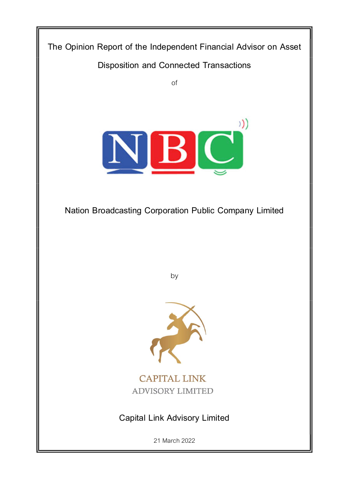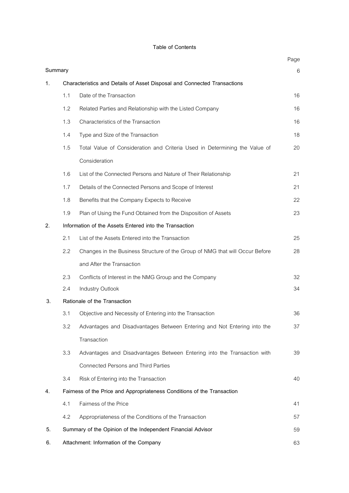# **Table of Contents**

|         |                                                                          |                                                                              | Page |  |  |  |  |  |
|---------|--------------------------------------------------------------------------|------------------------------------------------------------------------------|------|--|--|--|--|--|
| Summary |                                                                          |                                                                              | 6    |  |  |  |  |  |
| 1.      | Characteristics and Details of Asset Disposal and Connected Transactions |                                                                              |      |  |  |  |  |  |
|         | 1.1                                                                      | Date of the Transaction                                                      | 16   |  |  |  |  |  |
|         | 1.2                                                                      | Related Parties and Relationship with the Listed Company                     | 16   |  |  |  |  |  |
|         | 1.3                                                                      | Characteristics of the Transaction                                           | 16   |  |  |  |  |  |
|         | 1.4                                                                      | Type and Size of the Transaction                                             | 18   |  |  |  |  |  |
|         | 1.5                                                                      | Total Value of Consideration and Criteria Used in Determining the Value of   | 20   |  |  |  |  |  |
|         |                                                                          | Consideration                                                                |      |  |  |  |  |  |
|         | 1.6                                                                      | List of the Connected Persons and Nature of Their Relationship               | 21   |  |  |  |  |  |
|         | 1.7                                                                      | Details of the Connected Persons and Scope of Interest                       | 21   |  |  |  |  |  |
|         | 1.8                                                                      | Benefits that the Company Expects to Receive                                 | 22   |  |  |  |  |  |
|         | 1.9                                                                      | Plan of Using the Fund Obtained from the Disposition of Assets               | 23   |  |  |  |  |  |
| 2.      |                                                                          | Information of the Assets Entered into the Transaction                       |      |  |  |  |  |  |
|         | 2.1                                                                      | List of the Assets Entered into the Transaction                              | 25   |  |  |  |  |  |
|         | 2.2                                                                      | Changes in the Business Structure of the Group of NMG that will Occur Before | 28   |  |  |  |  |  |
|         |                                                                          | and After the Transaction                                                    |      |  |  |  |  |  |
|         | 2.3                                                                      | Conflicts of Interest in the NMG Group and the Company                       | 32   |  |  |  |  |  |
|         | 2.4                                                                      | Industry Outlook                                                             | 34   |  |  |  |  |  |
| 3.      |                                                                          | Rationale of the Transaction                                                 |      |  |  |  |  |  |
|         | 3.1                                                                      | Objective and Necessity of Entering into the Transaction                     | 36   |  |  |  |  |  |
|         | 3.2                                                                      | Advantages and Disadvantages Between Entering and Not Entering into the      | 37   |  |  |  |  |  |
|         |                                                                          | Transaction                                                                  |      |  |  |  |  |  |
|         | 3.3                                                                      | Advantages and Disadvantages Between Entering into the Transaction with      | 39   |  |  |  |  |  |
|         |                                                                          | <b>Connected Persons and Third Parties</b>                                   |      |  |  |  |  |  |
|         | 3.4                                                                      | Risk of Entering into the Transaction                                        | 40   |  |  |  |  |  |
| 4.      |                                                                          | Fairness of the Price and Appropriateness Conditions of the Transaction      |      |  |  |  |  |  |
|         | 4.1                                                                      | Fairness of the Price                                                        | 41   |  |  |  |  |  |
|         | 4.2                                                                      | Appropriateness of the Conditions of the Transaction                         | 57   |  |  |  |  |  |
| 5.      |                                                                          | Summary of the Opinion of the Independent Financial Advisor                  | 59   |  |  |  |  |  |
| 6.      | Attachment: Information of the Company<br>63                             |                                                                              |      |  |  |  |  |  |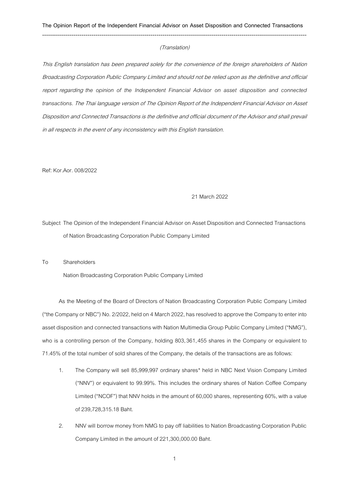#### (Translation)

This English translation has been prepared solely for the convenience of the foreign shareholders of Nation Broadcasting Corporation Public Company Limited and should not be relied upon as the definitive and official report regarding *the opinion of the Independent Financial Advisor on asset disposition and connected transactions*. The Thai language version of The Opinion Report of the Independent Financial Advisor on Asset Disposition and Connected Transactionsis the definitive and official document of the Advisor and shall prevail in all respects in the event of any inconsistency with this English translation.

Ref: Kor.Aor.008/2022

### 21 March 2022

Subject The Opinion of the Independent Financial Advisor on Asset Disposition and Connected Transactions of Nation Broadcasting Corporation Public Company Limited

To Shareholders

Nation Broadcasting Corporation Public Company Limited

As the Meeting of the Board of Directors of Nation Broadcasting Corporation Public Company Limited ("the Company or NBC") No. 2/2022, held on 4 March 2022,has resolved to approve the Company to enter into asset disposition and connected transactions with Nation Multimedia Group Public Company Limited ("NMG"), who is a controlling person of the Company, holding 803,361,455 shares in the Company or equivalent to 71.45% of the total number of sold shares of the Company, the detailsof the transactions are as follows:

- 1. The Company will sell 85,999,997 ordinary shares\* held in NBC Next Vision Company Limited ("NNV") or equivalent to 99.99%. This includes the ordinary shares of Nation Coffee Company Limited ("NCOF") that NNV holds in the amount of 60,000 shares, representing 60%, with a value of 239,728,315.18 Baht.
- 2. NNV will borrow money from NMG to pay off liabilities to Nation Broadcasting Corporation Public Company Limited in the amount of 221,300,000.00 Baht.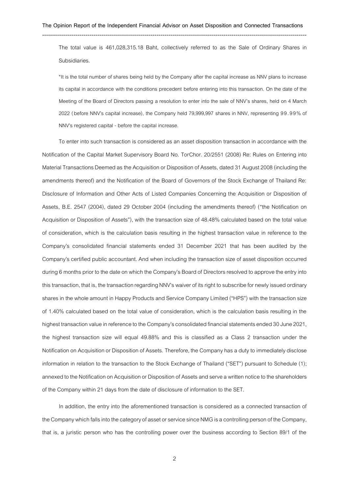The total value is 461,028,315.18 Baht, collectively referred to as the Sale of Ordinary Shares in Subsidiaries.

\*It is the total number of shares being held by the Company after the capital increase as NNV plans to increase its capital in accordance with the conditions precedent before entering into this transaction. On the date of the Meeting of the Board of Directors passing a resolution to enter into the sale of NNV's shares, held on 4 March 2022 (before NNV's capital increase), the Company held 79,999,997 shares in NNV, representing 99. 99% of NNV's registered capital - before the capital increase.

To enter into such transaction is considered as an asset disposition transactionin accordance with the Notification of the Capital Market Supervisory Board No. TorChor. 20/2551 (2008) Re: Rules on Entering into MaterialTransactions Deemed as the Acquisition or Disposition of Assets, dated 31 August 2008 (including the amendments thereof) and the Notification of the Board of Governors of the Stock Exchange of Thailand Re: Disclosure of Information and Other Acts of Listed Companies Concerning the Acquisition or Disposition of Assets, B.E. 2547 (2004), dated 29 October 2004 (including the amendments thereof) ("the Notification on Acquisition or Disposition of Assets"), with the transaction size of 48.48% calculated based on the total value of consideration, which is the calculation basis resulting in the highest transaction value in reference to the Company's consolidated financial statements ended 31 December 2021 that has been audited by the Company's certified public accountant. And when including the transaction size of asset disposition occurred during 6 months prior to the date on which the Company's Board of Directors resolved to approve the entry into this transaction, that is, the transaction regarding NNV's waiver of its right to subscribe for newly issued ordinary shares in the whole amount in Happy Products and Service Company Limited ("HPS") with the transaction size of 1.40% calculated based on the total value of consideration, which is the calculation basis resulting in the highest transaction value in reference to the Company's consolidated financial statements ended 30 June 2021, the highest transaction size will equal 49.88% and this is classified as a Class 2 transaction under the Notification on Acquisition or Disposition of Assets. Therefore, the Company has a duty to immediately disclose information in relation to the transaction to the Stock Exchange of Thailand ("SET") pursuant to Schedule (1); annexed to the Notification on Acquisition or Disposition of Assets and serve a written notice to the shareholders of the Company within 21 days from the date of disclosure of information to the SET.

In addition, the entry into the aforementioned transaction is considered as a connected transaction of the Company which falls into the category of asset or service since NMG is a controlling person of the Company, that is, a juristic person who has the controlling power over the business according to Section 89/1 of the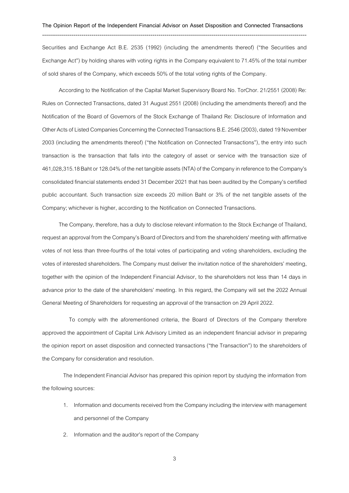--------------------------------------------------------------------------------------------------------------------------------------

Securities and Exchange Act B.E. 2535 (1992) (including the amendments thereof) ("the Securities and Exchange Act") by holding shares with voting rights in the Company equivalent to 71.45% of the total number of sold shares of the Company, which exceeds 50% of the total voting rights of the Company.

According to the Notification of the Capital Market Supervisory Board No. TorChor. 21/2551 (2008) Re: Rules on Connected Transactions, dated 31 August 2551 (2008) (including the amendments thereof) and the Notification of the Board of Governors of the Stock Exchange of Thailand Re: Disclosure of Information and Other Acts of Listed Companies Concerning the Connected Transactions B.E.2546 (2003), dated 19 November 2003 (including the amendments thereof) ("the Notification on Connected Transactions"), the entry into such transaction is the transaction that falls into the category of asset or service with the transaction size of 461,028,315.18 Baht or 128.04%of the net tangible assets (NTA) of the Companyin reference to the Company's consolidated financial statements ended 31 December 2021 that has been audited by the Company's certified public accountant. Such transaction size exceeds 20 million Baht or 3% of the net tangible assets of the Company; whichever is higher, according to the Notification on Connected Transactions.

The Company, therefore, has a duty to disclose relevant information to the Stock Exchange of Thailand, requestan approval from the Company's Board of Directors and from the shareholders' meeting with affirmative votes of not less than three-fourths of the total votes of participating and voting shareholders, excluding the votes of interested shareholders.The Company must deliver the invitation notice of the shareholders' meeting, together with the opinion of the Independent Financial Advisor, to the shareholders not less than 14 days in advance prior to the date of the shareholders' meeting. In this regard, the Company will set the 2022 Annual General Meeting of Shareholders for requesting an approval of the transaction on 29 April 2022.

To comply with the aforementioned criteria, the Board of Directors of the Company therefore approved the appointment of Capital Link Advisory Limited as an independent financial advisor in preparing the opinion report on asset disposition and connected transactions ("the Transaction") to the shareholders of the Company for consideration and resolution.

The Independent Financial Advisor has prepared this opinion report by studying the information from the following sources:

- 1. Information and documents received from the Company including the interview with management and personnel of the Company
- 2. Information and the auditor's report of the Company

3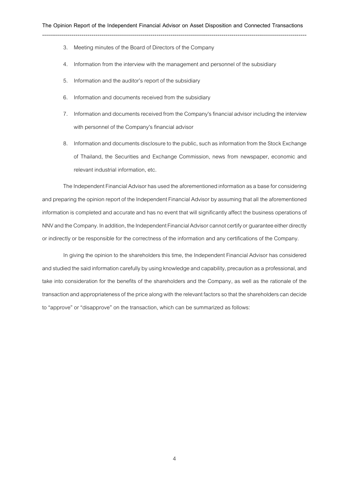- 3. Meeting minutes of the Board of Directors of the Company
- 4. Information from the interview with the management and personnel of the subsidiary
- 5. Information and the auditor's report of the subsidiary
- 6. Information and documents received from the subsidiary
- 7. Information and documents received from the Company's financial advisor including the interview with personnel of the Company's financial advisor
- 8. Information and documents disclosure to the public, such as information from the Stock Exchange of Thailand, the Securities and Exchange Commission, news from newspaper, economic and relevant industrial information, etc.

The Independent Financial Advisor has used the aforementioned information as a base for considering and preparing the opinion report of the Independent Financial Advisor by assuming that all the aforementioned information is completed and accurate and has no event that will significantly affect the business operations of NNV and the Company. In addition, the Independent Financial Advisor cannot certify or guarantee either directly or indirectly or be responsible for the correctness of the information and any certifications of the Company.

In giving the opinion to the shareholders this time, the Independent Financial Advisor has considered and studied the said information carefully by using knowledge and capability, precaution as a professional, and take into consideration for the benefits of the shareholders and the Company, as well as the rationale of the transaction and appropriateness of the price along with the relevant factors so that the shareholders can decide to "approve" or "disapprove" on the transaction, which can be summarized as follows: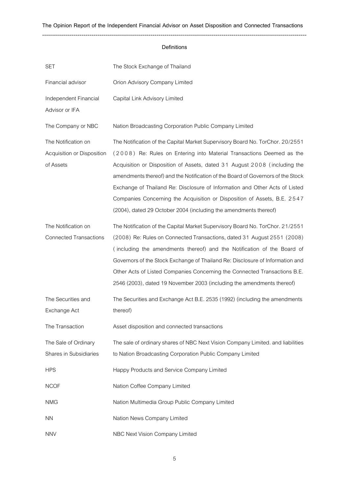## **Definitions**

| <b>SET</b>                                                     | The Stock Exchange of Thailand                                                                                                                                                                                                                                                                                                                                                                                                                                                                                                                        |
|----------------------------------------------------------------|-------------------------------------------------------------------------------------------------------------------------------------------------------------------------------------------------------------------------------------------------------------------------------------------------------------------------------------------------------------------------------------------------------------------------------------------------------------------------------------------------------------------------------------------------------|
| Financial advisor                                              | Orion Advisory Company Limited                                                                                                                                                                                                                                                                                                                                                                                                                                                                                                                        |
| Independent Financial<br>Advisor or IFA                        | Capital Link Advisory Limited                                                                                                                                                                                                                                                                                                                                                                                                                                                                                                                         |
| The Company or NBC                                             | Nation Broadcasting Corporation Public Company Limited                                                                                                                                                                                                                                                                                                                                                                                                                                                                                                |
| The Notification on<br>Acquisition or Disposition<br>of Assets | The Notification of the Capital Market Supervisory Board No. TorChor. 20/2551<br>(2008) Re: Rules on Entering into Material Transactions Deemed as the<br>Acquisition or Disposition of Assets, dated 31 August 2008 (including the<br>amendments thereof) and the Notification of the Board of Governors of the Stock<br>Exchange of Thailand Re: Disclosure of Information and Other Acts of Listed<br>Companies Concerning the Acquisition or Disposition of Assets, B.E. 2547<br>(2004), dated 29 October 2004 (including the amendments thereof) |
| The Notification on<br><b>Connected Transactions</b>           | The Notification of the Capital Market Supervisory Board No. TorChor. 21/2551<br>(2008) Re: Rules on Connected Transactions, dated 31 August 2551 (2008)<br>(including the amendments thereof) and the Notification of the Board of<br>Governors of the Stock Exchange of Thailand Re: Disclosure of Information and<br>Other Acts of Listed Companies Concerning the Connected Transactions B.E.<br>2546 (2003), dated 19 November 2003 (including the amendments thereof)                                                                           |
| The Securities and<br>Exchange Act                             | The Securities and Exchange Act B.E. 2535 (1992) (including the amendments<br>thereof)                                                                                                                                                                                                                                                                                                                                                                                                                                                                |
| The Transaction                                                | Asset disposition and connected transactions                                                                                                                                                                                                                                                                                                                                                                                                                                                                                                          |
| The Sale of Ordinary<br>Shares in Subsidiaries                 | The sale of ordinary shares of NBC Next Vision Company Limited. and liabilities<br>to Nation Broadcasting Corporation Public Company Limited                                                                                                                                                                                                                                                                                                                                                                                                          |
| <b>HPS</b>                                                     | Happy Products and Service Company Limited                                                                                                                                                                                                                                                                                                                                                                                                                                                                                                            |
| <b>NCOF</b>                                                    | Nation Coffee Company Limited                                                                                                                                                                                                                                                                                                                                                                                                                                                                                                                         |
| <b>NMG</b>                                                     | Nation Multimedia Group Public Company Limited                                                                                                                                                                                                                                                                                                                                                                                                                                                                                                        |
| <b>NN</b>                                                      | Nation News Company Limited                                                                                                                                                                                                                                                                                                                                                                                                                                                                                                                           |
| <b>NNV</b>                                                     | NBC Next Vision Company Limited                                                                                                                                                                                                                                                                                                                                                                                                                                                                                                                       |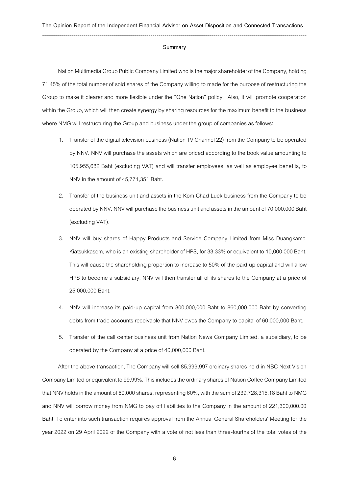#### **Summary**

Nation Multimedia Group Public Company Limited who is the major shareholder of the Company, holding 71.45% of the total number of sold shares of the Company willing to made for the purpose of restructuring the Group to make it clearer and more flexible under the "One Nation" policy. Also, it will promote cooperation within the Group, which will then create synergy by sharing resources for the maximum benefit to the business where NMG will restructuring the Group and business under the group of companies as follows:

- 1. Transfer of the digital television business (Nation TV Channel 22) from the Company to be operated by NNV. NNV will purchase the assets which are priced according to the book value amounting to 105,955,682 Baht (excluding VAT) and will transfer employees, as well as employee benefits, to NNV in the amount of 45,771,351 Baht.
- 2. Transfer of the business unit and assets in the Kom Chad Luek business from the Company to be operated by NNV. NNV will purchase the business unit and assets in the amount of 70,000,000 Baht (excluding VAT).
- 3. NNV will buy shares of Happy Products and Service Company Limited from Miss Duangkamol Kiatsukkasem, who is an existing shareholder of HPS, for 33.33% or equivalent to 10,000,000 Baht. This will cause the shareholding proportion to increase to 50% of the paid-up capital and will allow HPS to become a subsidiary. NNV will then transfer all of its shares to the Company at a price of 25,000,000 Baht.
- 4. NNV will increase its paid-up capital from 800,000,000 Baht to 860,000,000 Baht by converting debts from trade accounts receivable that NNV owes the Company to capital of 60,000,000 Baht.
- 5. Transfer of the call center business unit from Nation News Company Limited, a subsidiary, to be operated by the Company at a price of 40,000,000 Baht.

After the above transaction, The Company will sell 85,999,997 ordinary shares held in NBC Next Vision Company Limited or equivalent to 99.99%. This includes the ordinary shares of Nation Coffee Company Limited that NNV holds in the amount of 60,000 shares, representing 60%, with the sum of 239,728,315.18 Baht to NMG and NNV will borrow money from NMG to pay off liabilities to the Company in the amount of 221,300,000.00 Baht. To enter into such transaction requires approval from the Annual General Shareholders' Meeting for the year 2022 on 29 April 2022 of the Company with a vote of not less than three-fourths of the total votes of the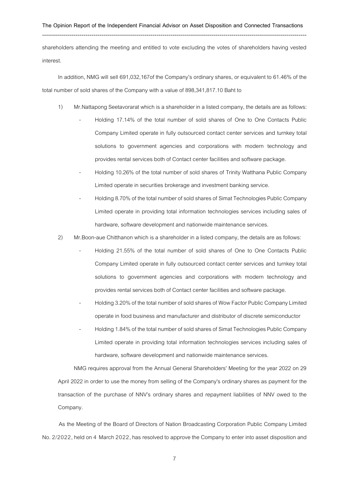--------------------------------------------------------------------------------------------------------------------------------------

shareholders attending the meeting and entitled to vote excluding the votes of shareholders having vested interest.

In addition, NMG will sell 691,032,167of the Company's ordinary shares, or equivalent to 61.46% of the total number of sold shares of the Company with a value of 898,341,817.10 Baht to

- 1) Mr.Nattapong Seetavorarat which is a shareholder in a listed company, the details are as follows:
	- Holding 17.14% of the total number of sold shares of One to One Contacts Public Company Limited operate in fully outsourced contact center services and turnkey total solutions to government agencies and corporations with modern technology and provides rental services both of Contact center facilities and software package.
		- Holding 10.26% of the total number of sold shares of Trinity Watthana Public Company Limited operate in securities brokerage and investment banking service.
	- Holding 8.70% of the total number of sold shares of Simat Technologies Public Company Limited operate in providing total information technologies services including sales of hardware, software development and nationwide maintenance services.
- 2) Mr.Boon-aue Chitthanon which is a shareholder in a listed company, the details are as follows:
	- Holding 21.55% of the total number of sold shares of One to One Contacts Public Company Limited operate in fully outsourced contact center services and turnkey total solutions to government agencies and corporations with modern technology and provides rental services both of Contact center facilities and software package.
	- Holding 3.20% of the total number of sold shares of Wow Factor Public Company Limited operate in food business and manufacturer and distributor of discrete semiconductor
	- Holding 1.84% of the total number of sold shares of Simat Technologies Public Company Limited operate in providing total information technologies services including sales of hardware, software development and nationwide maintenance services.

NMG requires approval from the Annual General Shareholders' Meeting for the year 2022 on 29 April 2022 in order to use the money from selling of the Company's ordinary shares as payment for the transaction of the purchase of NNV's ordinary shares and repayment liabilities of NNV owed to the Company.

As the Meeting of the Board of Directors of Nation Broadcasting Corporation Public Company Limited No. 2/2022, held on 4 March 2022, has resolved to approve the Company to enter into asset disposition and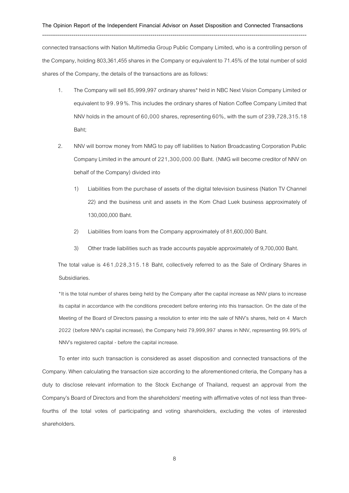connected transactions with Nation Multimedia Group Public Company Limited, who is a controlling person of the Company, holding 803,361,455 shares in the Company or equivalent to 71.45% of the total number of sold shares of the Company, the details of the transactions are as follows:

- 1. The Company will sell 85,999,997 ordinary shares\* held in NBC Next Vision Company Limited or equivalent to 99.99%. This includes the ordinary shares of Nation Coffee Company Limited that NNV holds in the amount of  $60,000$  shares, representing  $60\%$ , with the sum of  $239,728,315.18$ Baht;
- 2. NNV will borrow money from NMG to pay off liabilities to Nation Broadcasting Corporation Public Company Limited in the amount of 221,300,000.00 Baht. (NMG will become creditor of NNV on behalf of the Company) divided into
	- 1) Liabilities from the purchase of assets of the digital television business (Nation TV Channel 22) and the business unit and assets in the Kom Chad Luek business approximately of 130,000,000 Baht.
	- 2) Liabilities from loans from the Company approximately of 81,600,000 Baht.
	- 3) Other trade liabilities such as trade accounts payable approximately of 9,700,000 Baht.

The total value is 461,028,315.18 Baht, collectively referred to as the Sale of Ordinary Shares in Subsidiaries.

\*It is the total number of shares being held by the Company after the capital increase as NNV plans to increase its capital in accordance with the conditions precedent before entering into this transaction. On the date of the Meeting of the Board of Directors passing a resolution to enter into the sale of NNV's shares, held on 4 March 2022 (before NNV's capital increase), the Company held 79,999,997 shares in NNV, representing 99.99% of NNV's registered capital - before the capital increase.

To enter into such transaction is considered as asset disposition and connected transactions of the Company. When calculating the transaction size according to the aforementioned criteria, the Company has a duty to disclose relevant information to the Stock Exchange of Thailand, request an approval from the Company's Board of Directors and from the shareholders' meeting with affirmative votes of not less than threefourths of the total votes of participating and voting shareholders, excluding the votes of interested shareholders.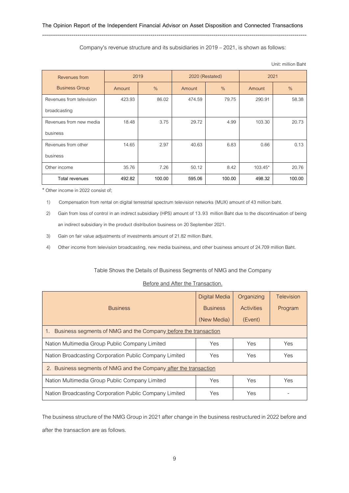--------------------------------------------------------------------------------------------------------------------------------------

### Company's revenue structure and its subsidiaries in 2019 –2021, is shown as follows:

| Revenues from            | 2019   |        | 2020 (Restated) |        | 2021    |        |
|--------------------------|--------|--------|-----------------|--------|---------|--------|
| <b>Business Group</b>    | Amount | $\%$   | Amount          | $\%$   | Amount  | $\%$   |
| Revenues from television | 423.93 | 86.02  | 474.59          | 79.75  | 290.91  | 58.38  |
| broadcasting             |        |        |                 |        |         |        |
| Revenues from new media  | 18.48  | 3.75   | 29.72           | 4.99   | 103.30  | 20.73  |
| business                 |        |        |                 |        |         |        |
| Revenues from other      | 14.65  | 2.97   | 40.63           | 6.83   | 0.66    | 0.13   |
| business                 |        |        |                 |        |         |        |
| Other income             | 35.76  | 7.26   | 50.12           | 8.42   | 103.45* | 20.76  |
| <b>Total revenues</b>    | 492.82 | 100.00 | 595.06          | 100.00 | 498.32  | 100.00 |

Unit: million Baht

\* Other income in 2022 consist of;

1) Compensation from rental on digital terrestrial spectrum television networks (MUX) amount of 43 million baht.

2) Gain from loss of control in an indirect subsidiary (HPS) amount of 13.93 million Baht due to the discontinuation of being an indirect subsidiary in the product distribution business on 20 September 2021.

3) Gain on fair value adjustments of investments amount of 21.82 million Baht.

4) Other income from television broadcasting, new media business, and other business amount of 24.709 million Baht.

## Table Shows the Details of Business Segments of NMG and the Company

### Before and After the Transaction.

| <b>Business</b>                                                 | <b>Digital Media</b><br><b>Business</b><br>(New Media) | Organizing<br>Activities<br>(Event) | Television<br>Program |  |  |  |
|-----------------------------------------------------------------|--------------------------------------------------------|-------------------------------------|-----------------------|--|--|--|
| Business segments of NMG and the Company before the transaction |                                                        |                                     |                       |  |  |  |
| Nation Multimedia Group Public Company Limited                  | Yes                                                    | Yes                                 | Yes                   |  |  |  |
| Nation Broadcasting Corporation Public Company Limited          | Yes.                                                   | Yes                                 | Yes                   |  |  |  |
| Business segments of NMG and the Company after the transaction  |                                                        |                                     |                       |  |  |  |
| Nation Multimedia Group Public Company Limited                  | Yes                                                    | Yes                                 | Yes                   |  |  |  |
| Nation Broadcasting Corporation Public Company Limited          | Yes                                                    | Yes                                 |                       |  |  |  |

The business structure of the NMG Group in 2021 after change in the business restructured in 2022 before and after the transaction are as follows.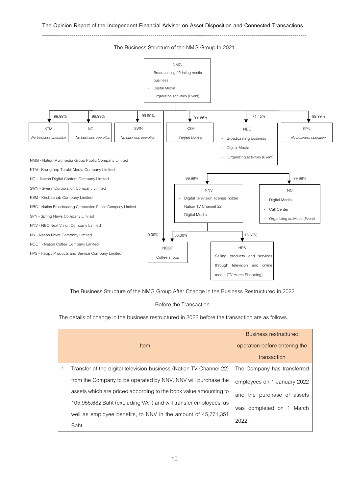

The Business Structure of the NMG Group In 2021

The Business Structure of the NMG Group After Change in the Business Restructured in 2022

## Before the Transaction

The details of change in the business restructured in 2022 before the transaction are as follows.

| Item                                                               | <b>Business restructured</b><br>operation before entering the<br>transaction |
|--------------------------------------------------------------------|------------------------------------------------------------------------------|
| Transfer of the digital television business (Nation TV Channel 22) | The Company has transferred                                                  |
| from the Company to be operated by NNV. NNV will purchase the      | employees on 1 January 2022                                                  |
| assets which are priced according to the book value amounting to   | and the purchase of assets                                                   |
| 105,955,682 Baht (excluding VAT) and will transfer employees, as   | was completed on 1 March                                                     |
| well as employee benefits, to NNV in the amount of 45,771,351      |                                                                              |
| Baht.                                                              | 2022.                                                                        |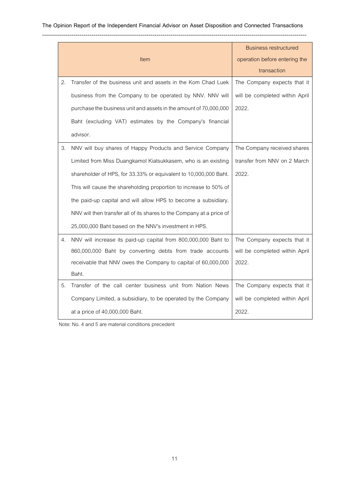|    |                                                                       | <b>Business restructured</b>   |
|----|-----------------------------------------------------------------------|--------------------------------|
|    | Item                                                                  | operation before entering the  |
|    |                                                                       | transaction                    |
| 2. | Transfer of the business unit and assets in the Kom Chad Luek         | The Company expects that it    |
|    | business from the Company to be operated by NNV. NNV will             | will be completed within April |
|    | purchase the business unit and assets in the amount of 70,000,000     | 2022.                          |
|    | Baht (excluding VAT) estimates by the Company's financial             |                                |
|    | advisor.                                                              |                                |
| 3. | NNV will buy shares of Happy Products and Service Company             | The Company received shares    |
|    | Limited from Miss Duangkamol Kiatsukkasem, who is an existing         | transfer from NNV on 2 March   |
|    | shareholder of HPS, for 33.33% or equivalent to 10,000,000 Baht.      | 2022.                          |
|    | This will cause the shareholding proportion to increase to 50% of     |                                |
|    | the paid-up capital and will allow HPS to become a subsidiary.        |                                |
|    | NNV will then transfer all of its shares to the Company at a price of |                                |
|    | 25,000,000 Baht based on the NNV's investment in HPS.                 |                                |
| 4. | NNV will increase its paid-up capital from 800,000,000 Baht to        | The Company expects that it    |
|    | 860,000,000 Baht by converting debts from trade accounts              | will be completed within April |
|    | receivable that NNV owes the Company to capital of 60,000,000         | 2022.                          |
|    | Baht.                                                                 |                                |
| 5. | Transfer of the call center business unit from Nation News            | The Company expects that it    |
|    | Company Limited, a subsidiary, to be operated by the Company          | will be completed within April |
|    | at a price of 40,000,000 Baht.                                        | 2022.                          |

Note: No. 4 and 5 are material conditions precedent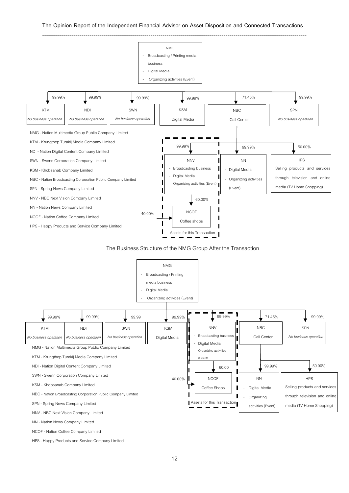

### The Business Structure of the NMG Group After the Transaction



NCOF - Nation Coffee Company Limited

HPS - Happy Products and Service Company Limited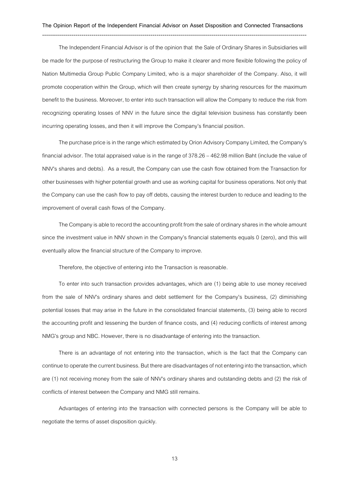The Independent Financial Advisor is of the opinion that the Sale of Ordinary Shares in Subsidiaries will be made for the purpose of restructuring the Group to make it clearer and more flexible following the policy of Nation Multimedia Group Public Company Limited, who is a major shareholder of the Company. Also, it will promote cooperation within the Group, which will then create synergy by sharing resources for the maximum benefit to the business. Moreover, to enter into such transaction will allow the Company to reduce the risk from recognizing operating losses of NNV in the future since the digital television business has constantly been incurring operating losses, and then it will improve the Company's financial position.

The purchase price is in the range which estimated by Orion Advisory Company Limited, the Company's financial advisor. The total appraised value is in the range of 378.26 - 462.98 million Baht (include the value of NNV's shares and debts). As a result, the Company can use the cash flow obtained from the Transaction for other businesses with higher potential growth and use as working capital for business operations. Not only that the Company can use the cash flow to pay off debts, causing the interest burden to reduce and leading to the improvement of overall cash flows of the Company.

The Company is able to record the accounting profit from the sale of ordinary shares in the whole amount since the investment value in NNV shown in the Company's financial statements equals 0 (zero), and this will eventually allow the financial structure of the Company to improve.

Therefore, the objective of entering into the Transaction is reasonable.

To enter into such transaction provides advantages, which are (1) being able to use money received from the sale of NNV's ordinary shares and debt settlement for the Company's business, (2) diminishing potential losses that may arise in the future in the consolidated financial statements, (3) being able to record the accounting profit and lessening the burden of finance costs, and (4) reducing conflicts of interest among NMG's group and NBC. However, there is no disadvantage of entering into the transaction.

There is an advantage of not entering into the transaction, which is the fact that the Company can continue to operate the current business. But there are disadvantages of not entering into the transaction, which are (1) not receiving money from the sale of NNV's ordinary shares and outstanding debts and (2) the risk of conflicts of interest between the Company and NMG still remains.

Advantages of entering into the transaction with connected persons is the Company will be able to negotiate the terms of asset disposition quickly.

13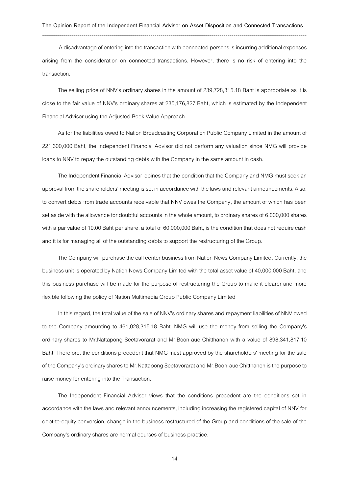--------------------------------------------------------------------------------------------------------------------------------------

A disadvantage of entering into the transaction with connected persons is incurring additional expenses arising from the consideration on connected transactions. However, there is no risk of entering into the transaction.

The selling price of NNV's ordinary shares in the amount of 239,728,315.18 Baht is appropriate as it is close to the fair value of NNV's ordinary shares at 235,176,827 Baht, which is estimated by the Independent Financial Advisor using the Adjusted Book Value Approach.

As for the liabilities owed to Nation Broadcasting Corporation Public Company Limited in the amount of 221,300,000 Baht, the Independent Financial Advisor did not perform any valuation since NMG will provide loans to NNV to repay the outstanding debts with the Company in the same amount in cash.

The Independent Financial Advisor opines that the condition that the Company and NMG must seek an approval from the shareholders' meeting is set in accordance with the laws and relevant announcements. Also, to convert debts from trade accounts receivable that NNV owes the Company, the amount of which has been set aside with the allowance for doubtful accounts in the whole amount, to ordinary shares of 6,000,000 shares with a par value of 10.00 Baht per share, a total of 60,000,000 Baht, is the condition that does not require cash and it is for managing all of the outstanding debts tosupport the restructuring of the Group.

The Company will purchase the call center business from Nation News Company Limited. Currently, the business unit is operated by Nation News Company Limited with the total asset value of 40,000,000 Baht, and this business purchase will be made for the purpose of restructuring the Group to make it clearer and more flexible following the policy of Nation Multimedia Group Public Company Limited

In this regard, the total value of the sale of NNV's ordinary shares and repayment liabilities of NNV owed to the Company amounting to 461,028,315.18 Baht. NMG will use the money from selling the Company's ordinary shares to Mr.Nattapong Seetavorarat and Mr.Boon-aue Chitthanon with a value of 898,341,817.10 Baht. Therefore, the conditions precedent that NMG must approved by the shareholders' meeting for the sale of the Company's ordinary shares to Mr.Nattapong Seetavorarat and Mr.Boon-aue Chitthanon is the purpose to raise money for entering into the Transaction.

The Independent Financial Advisor views that the conditions precedent are the conditions set in accordance with the laws and relevant announcements, including increasing the registered capital of NNV for debt-to-equity conversion, change in the business restructured of the Group and conditions of the sale of the Company's ordinary shares are normal courses of business practice.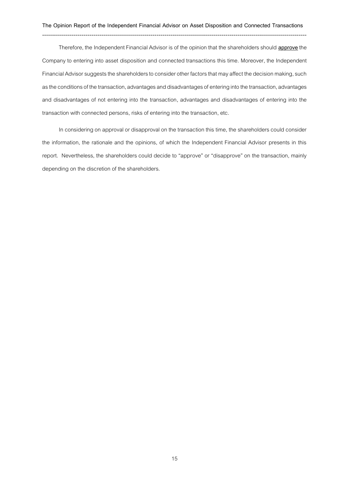Therefore, the Independent Financial Advisor is of the opinion that the shareholders should **approve**the Company to entering into asset disposition and connected transactions this time. Moreover, the Independent Financial Advisor suggests the shareholders to consider other factors that may affect the decision making, such as the conditions of the transaction, advantages and disadvantages of entering into the transaction, advantages and disadvantages of not entering into the transaction, advantages and disadvantages of entering into the transaction with connected persons, risks of entering into the transaction, etc.

In considering on approval or disapproval on the transaction this time, the shareholders could consider the information, the rationale and the opinions, of which the Independent Financial Advisor presents in this report. Nevertheless, the shareholders could decide to "approve" or "disapprove" on the transaction, mainly depending on the discretion of the shareholders.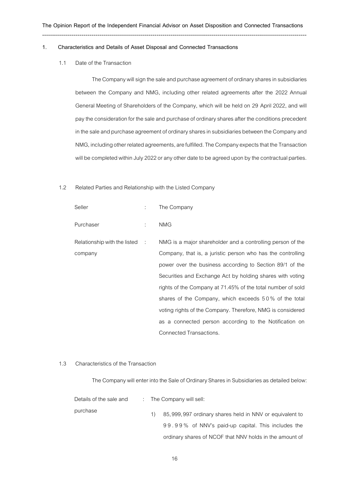#### **1. Characteristics and Details of Asset Disposal and Connected Transactions**

--------------------------------------------------------------------------------------------------------------------------------------

1.1 Date of the Transaction

The Company will sign the sale and purchase agreement of ordinary shares in subsidiaries between the Company and NMG, including other related agreements after the 2022 Annual General Meeting of Shareholders of the Company, which will be held on 29 April 2022, and will pay the consideration for the sale and purchase of ordinary shares after the conditions precedent in the sale and purchase agreement of ordinary shares in subsidiaries between the Company and NMG, including other related agreements, arefulfilled. The Company expects that the Transaction will be completed within July 2022 or any other date to be agreed upon by the contractual parties.

### 1.2 Related Parties and Relationship with the Listed Company

| Seller                         |               | The Company                                                 |
|--------------------------------|---------------|-------------------------------------------------------------|
| Purchaser                      | $\mathcal{L}$ | <b>NMG</b>                                                  |
| Relationship with the listed : |               | NMG is a major shareholder and a controlling person of the  |
| company                        |               | Company, that is, a juristic person who has the controlling |
|                                |               | power over the business according to Section 89/1 of the    |
|                                |               | Securities and Exchange Act by holding shares with voting   |
|                                |               | rights of the Company at 71.45% of the total number of sold |
|                                |               | shares of the Company, which exceeds 50% of the total       |
|                                |               | voting rights of the Company. Therefore, NMG is considered  |
|                                |               | as a connected person according to the Notification on      |
|                                |               | Connected Transactions.                                     |

### 1.3 Characteristics of the Transaction

The Company will enter into the Sale of Ordinary Shares in Subsidiaries as detailed below:

| Details of the sale and |  | : The Company will sell:                                |  |  |
|-------------------------|--|---------------------------------------------------------|--|--|
| purchase                |  | 85,999,997 ordinary shares held in NNV or equivalent to |  |  |
|                         |  | 99.99% of NNV's paid-up capital. This includes the      |  |  |
|                         |  | ordinary shares of NCOF that NNV holds in the amount of |  |  |

16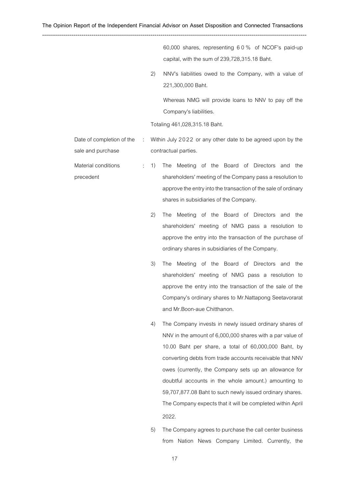60,000 shares, representing 60% of NCOF's paid-up capital, with the sum of 239,728,315.18 Baht. 2) NNV's liabilities owed to the Company, with a value of 221,300,000 Baht. Whereas NMG will provide loans to NNV to pay off the Company's liabilities. Totaling 461,028,315.18 Baht. Date of completion of the sale and purchase : Within July 2022 or any other date to be agreed upon by the contractual parties. Material conditions precedent : 1) The Meeting of the Board of Directors and the shareholders' meeting of the Company pass a resolution to approve the entry into the transaction of the sale of ordinary shares in subsidiaries of the Company. 2) The Meeting of the Board of Directors and the shareholders' meeting of NMG pass a resolution to approve the entry into the transaction of the purchase of ordinary shares in subsidiaries of the Company. 3) The Meeting of the Board of Directors and the shareholders' meeting of NMG pass a resolution to approve the entry into the transaction of the sale of the Company's ordinary shares to Mr.Nattapong Seetavorarat and Mr.Boon-aue Chitthanon. 4) The Company invests in newly issued ordinary shares of NNV in the amount of 6,000,000 shares with a par value of

- 10.00 Baht per share, a total of 60,000,000 Baht, by converting debts from trade accounts receivable that NNV owes (currently, the Company sets up an allowance for doubtful accounts in the whole amount.) amounting to 59,707,877.08 Baht to such newly issued ordinary shares. The Company expects that it will be completed within April 2022.
- 5) The Company agrees to purchase the call center business from Nation News Company Limited. Currently, the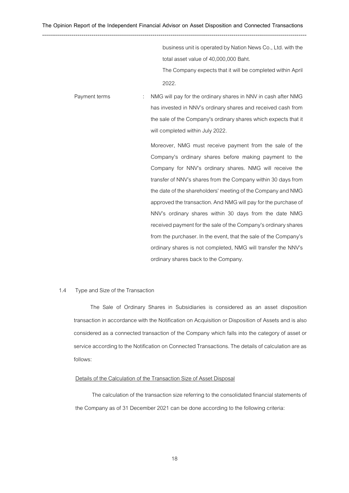business unit is operated by Nation News Co., Ltd. with the total asset value of 40,000,000 Baht. The Company expects that it will be completed within April 2022.

Payment terms : NMG will pay for the ordinary shares in NNV in cash after NMG has invested in NNV's ordinary shares and received cash from the sale of the Company's ordinary shares which expects that it will completed within July 2022.

> Moreover, NMG must receive payment from the sale of the Company's ordinary shares before making payment to the Company for NNV's ordinary shares. NMG will receive the transfer of NNV's shares from the Company within 30 days from the date of the shareholders' meeting of the Company and NMG approved the transaction. And NMG will pay for the purchase of NNV's ordinary shares within 30 days from the date NMG received payment for the sale of the Company's ordinary shares from the purchaser. In the event, that the sale of the Company's ordinary shares is not completed, NMG will transfer the NNV's ordinary shares back to the Company.

### 1.4 Type and Size of the Transaction

The Sale of Ordinary Shares in Subsidiaries is considered as an asset disposition transaction in accordance with the Notification on Acquisition or Disposition of Assets and is also considered as a connected transaction of the Company which falls into the category of asset or service according to the Notification on Connected Transactions. The details of calculation are as follows:

# Details of the Calculation of the Transaction Size of Asset Disposal

The calculation of the transaction size referring to the consolidated financial statements of the Company as of 31 December 2021 can be done according to the following criteria: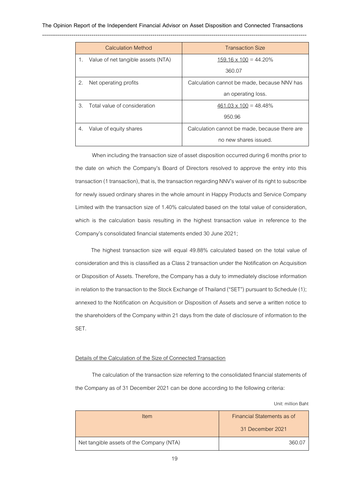|    | <b>Calculation Method</b>          | <b>Transaction Size</b>                       |
|----|------------------------------------|-----------------------------------------------|
|    | Value of net tangible assets (NTA) | $159.16 \times 100 = 44.20\%$                 |
|    |                                    | 360.07                                        |
| 2. | Net operating profits              | Calculation cannot be made, because NNV has   |
|    |                                    | an operating loss.                            |
| 3. | Total value of consideration       | $461.03 \times 100 = 48.48\%$                 |
|    |                                    | 950.96                                        |
| 4. | Value of equity shares             | Calculation cannot be made, because there are |
|    |                                    | no new shares issued.                         |

When including the transaction size of asset disposition occurred during 6 months prior to the date on which the Company's Board of Directors resolved to approve the entry into this transaction(1 transaction), that is, the transaction regarding NNV's waiver of its right to subscribe for newly issued ordinary shares in the whole amount in Happy Products and Service Company Limited with the transaction size of 1.40% calculated based on the total value of consideration, which is the calculation basis resulting in the highest transaction value in reference to the Company's consolidated financial statements ended 30 June 2021;

The highest transaction size will equal 49.88% calculated based on the total value of consideration and this is classified as a Class 2 transaction under the Notification on Acquisition or Disposition of Assets. Therefore, the Company has a duty to immediately disclose information in relation to the transaction to the Stock Exchange of Thailand ("SET") pursuant to Schedule (1); annexed to the Notification on Acquisition or Disposition of Assets and serve a written notice to the shareholders of the Company within 21 days from the date of disclosure of information to the SET.

## Details of the Calculation of the Size of Connected Transaction

The calculation of the transaction size referring to the consolidated financial statements of the Company as of 31 December 2021 can be done according to the following criteria:

Unit: million Baht

| Item                                     | Financial Statements as of |
|------------------------------------------|----------------------------|
|                                          | 31 December 2021           |
| Net tangible assets of the Company (NTA) | 360.0                      |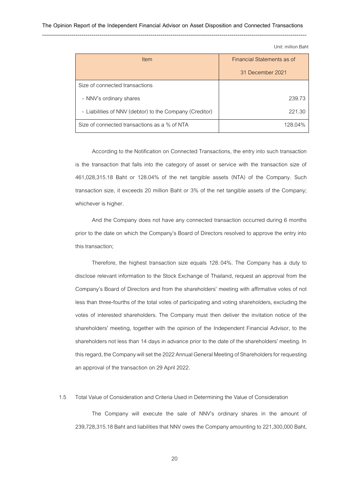Unit: million Baht

| Item                                                    | Financial Statements as of |  |
|---------------------------------------------------------|----------------------------|--|
|                                                         | 31 December 2021           |  |
| Size of connected transactions                          |                            |  |
| - NNV's ordinary shares                                 | 239.73                     |  |
| - Liabilities of NNV (debtor) to the Company (Creditor) | 221.30                     |  |
| Size of connected transactions as a % of NTA            | 128.04%                    |  |

According to the Notification on Connected Transactions, the entry into such transaction is the transaction that falls into the category of asset or service with the transaction size of 461,028,315.18 Baht or 128.04% of the net tangible assets (NTA) of the Company. Such transaction size, it exceeds 20 million Baht or 3% of the net tangible assets of the Company; whichever is higher.

And the Company does not have any connected transaction occurred during 6 months prior to the date on which the Company's Board of Directors resolved to approve the entry into this transaction;

Therefore, the highest transaction size equals 128.04%. The Company has a duty to disclose relevant information to the Stock Exchange of Thailand, request an approval from the Company's Board of Directors and from the shareholders' meeting with affirmative votes of not less than three-fourths of the total votes of participating and voting shareholders, excluding the votes of interested shareholders. The Company must then deliver the invitation notice of the shareholders' meeting, together with the opinion of the Independent Financial Advisor, to the shareholders not less than 14 days in advance prior to the date of the shareholders' meeting. In this regard, the Company will set the 2022 Annual General Meeting of Shareholders for requesting an approval of the transaction on 29 April 2022.

### 1.5 Total Value of Consideration and Criteria Used in Determining the Value of Consideration

The Company will execute the sale of NNV's ordinary shares in the amount of 239,728,315.18 Baht and liabilities that NNV owes the Company amounting to 221,300,000 Baht,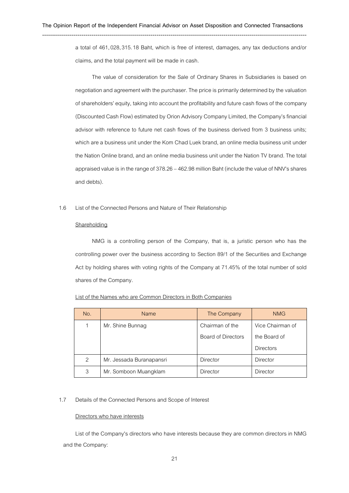--------------------------------------------------------------------------------------------------------------------------------------

a total of 461,028,315.18 Baht, which is free of interest, damages, any tax deductions and/or claims, and the total payment will be made in cash.

The value of consideration for the Sale of Ordinary Shares in Subsidiaries is based on negotiation and agreement with the purchaser. The price is primarily determined by the valuation of shareholders' equity, taking into account the profitability and future cash flows of the company (Discounted Cash Flow) estimated by Orion Advisory Company Limited, the Company's financial advisor with reference to future net cash flows of the business derived from 3 business units; which are a business unit under the Kom Chad Luek brand, an online media business unit under the Nation Online brand, and an online media business unit under the Nation TV brand. The total appraised value is in the range of 378.26 –462.98 million Baht (include the value of NNV's shares and debts).

### 1.6 List of the Connected Persons and Nature of Their Relationship

#### **Shareholding**

NMG is a controlling person of the Company, that is, a juristic person who has the controlling power over the business according to Section 89/1 of the Securities and Exchange Act by holding shares with voting rights of the Company at 71.45% of the total number of sold shares of the Company.

| No. | <b>Name</b>              | The Company               | <b>NMG</b>       |
|-----|--------------------------|---------------------------|------------------|
| 1   | Mr. Shine Bunnag         | Chairman of the           | Vice Chairman of |
|     |                          | <b>Board of Directors</b> | the Board of     |
|     |                          |                           | <b>Directors</b> |
| 2   | Mr. Jessada Buranapansri | <b>Director</b>           | Director         |
| 3   | Mr. Somboon Muangklam    | Director                  | <b>Director</b>  |

## 1.7 Details of the Connected Persons and Scope of Interest

### Directors who have interests

List of the Company's directors who have interests because they are common directors in NMG and the Company: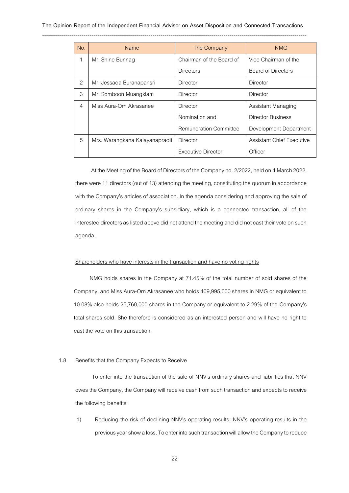| No. | Name                           | The Company                   | <b>NMG</b>                       |
|-----|--------------------------------|-------------------------------|----------------------------------|
| 1   | Mr. Shine Bunnag               | Chairman of the Board of      | Vice Chairman of the             |
|     |                                | Directors                     | Board of Directors               |
| 2   | Mr. Jessada Buranapansri       | Director                      | Director                         |
| 3   | Mr. Somboon Muangklam          | Director                      | Director                         |
| 4   | Miss Aura-Orn Akrasanee        | Director                      | Assistant Managing               |
|     |                                | Nomination and                | Director Business                |
|     |                                | <b>Remuneration Committee</b> | Development Department           |
| 5   | Mrs. Warangkana Kalayanapradit | Director                      | <b>Assistant Chief Executive</b> |
|     |                                | Executive Director            | Officer                          |

At the Meeting of the Board of Directors of the Company no. 2/2022, held on 4 March 2022, there were 11 directors (out of 13) attending the meeting, constituting the quorum in accordance with the Company's articles of association. In the agenda considering and approving the sale of ordinary shares in the Company's subsidiary, which is a connected transaction, all of the interested directors as listed above did not attend the meeting and did not cast their vote on such agenda.

### Shareholders who have interests in the transaction and have no voting rights

NMG holds shares in the Company at 71.45% of the total number of sold shares of the Company, and Miss Aura-Orn Akrasanee who holds 409,995,000 shares in NMG or equivalent to 10.08% also holds 25,760,000 shares in the Company or equivalent to 2.29% of the Company's total shares sold. She therefore is considered as an interested person and will have no right to cast the vote on this transaction.

### 1.8 Benefits that the Company Expects to Receive

To enter into the transaction of the sale of NNV's ordinary shares and liabilities that NNV owes the Company, the Company will receive cash from such transaction and expects to receive the following benefits:

1) Reducing the risk of declining NNV's operating results: NNV's operating results in the previous year show a loss. To enter into such transaction will allow the Company to reduce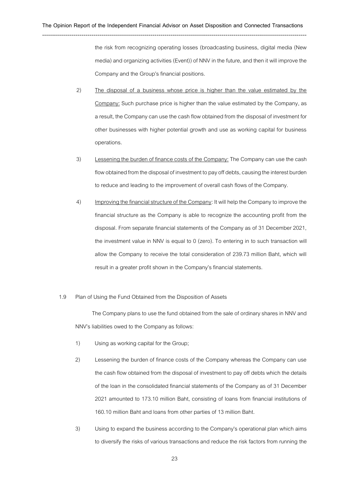the risk from recognizing operating losses (broadcasting business, digital media (New media) and organizing activities (Event)) of NNV in the future, and then it will improve the Company and the Group's financial positions.

- 2) The disposal of a business whose price is higher than the value estimated by the Company: Such purchase price is higher than the value estimated by the Company, as a result, the Company can use the cash flow obtained from the disposalof investment for other businesses with higher potential growth and use as working capital for business operations.
- 3) Lessening the burden of finance costs of the Company: The Company can use the cash flow obtained from the disposal of investment to pay off debts, causing the interest burden to reduce and leading to the improvement of overall cash flows of the Company.
- 4) Improving the financial structure of the Company: It will help the Company to improve the financial structure as the Company is able to recognize the accounting profit from the disposal. From separate financial statements of the Company as of 31 December 2021, the investment value in NNV is equal to 0 (zero). To entering in to such transaction will allow the Company to receive the total consideration of 239.73 million Baht, which will result in a greater profit shown in the Company's financial statements.

### 1.9 Plan of Using the Fund Obtained from the Disposition of Assets

The Company plans to use the fund obtained from the sale of ordinary shares in NNV and NNV's liabilities owed to the Company as follows:

- 1) Using as working capital for the Group;
- 2) Lessening the burden of finance costs of the Company whereas the Company can use the cash flow obtained from the disposal of investment to pay off debts which the details of the loan in the consolidated financial statements of the Company as of 31 December 2021 amounted to 173.10 million Baht, consisting of loans from financial institutions of 160.10 million Baht and loans from other parties of 13 million Baht.
- 3) Using to expand the business according to the Company's operational plan which aims to diversify the risks of various transactions and reduce the risk factors from running the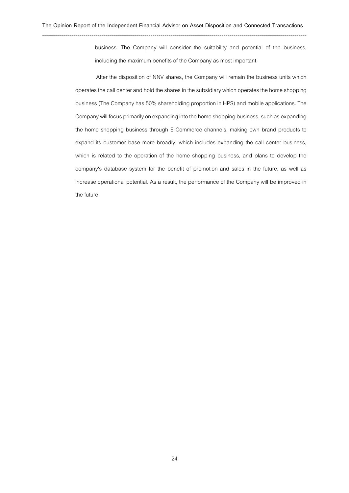business. The Company will consider the suitability and potential of the business, including the maximum benefits of the Company as most important.

After the disposition of NNV shares, the Company will remain the business units which operates the call center and hold the shares in the subsidiary which operates the home shopping business (The Company has 50% shareholding proportion in HPS) and mobile applications. The Company will focus primarily on expanding into the home shopping business, such as expanding the home shopping business through E-Commerce channels, making own brand products to expand its customer base more broadly, which includes expanding the call center business, which is related to the operation of the home shopping business, and plans to develop the company's database system for the benefit of promotion and sales in the future, as well as increase operational potential. As a result, the performance of the Company will be improved in the future.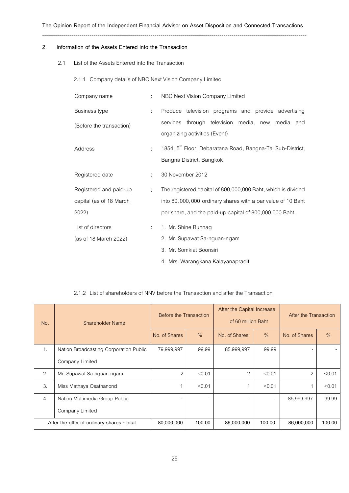#### --------------------------------------------------------------------------------------------------------------------------------------

## **2. Information of the Assets Entered into the Transaction**

2.1 List of the Assets Entered into the Transaction

2.1.1 Company details of NBC Next Vision Company Limited

| Company name                                               | $\mathbb{R}^{\mathbb{Z}}$ | NBC Next Vision Company Limited                                                                                                                                                        |  |  |  |
|------------------------------------------------------------|---------------------------|----------------------------------------------------------------------------------------------------------------------------------------------------------------------------------------|--|--|--|
| <b>Business type</b>                                       | t.                        | Produce television programs and provide advertising                                                                                                                                    |  |  |  |
| (Before the transaction)                                   |                           | services through television media, new media and<br>organizing activities (Event)                                                                                                      |  |  |  |
| Address                                                    | $\mathbb{R}^{\mathbb{Z}}$ | 1854, 5 <sup>th</sup> Floor, Debaratana Road, Bangna-Tai Sub-District,<br>Bangna District, Bangkok                                                                                     |  |  |  |
| Registered date                                            | ÷.                        | 30 November 2012                                                                                                                                                                       |  |  |  |
| Registered and paid-up<br>capital (as of 18 March<br>2022) | ÷.                        | The registered capital of 800,000,000 Baht, which is divided<br>into 80,000,000 ordinary shares with a par value of 10 Baht<br>per share, and the paid-up capital of 800,000,000 Baht. |  |  |  |
| List of directors<br>(as of 18 March 2022)                 | $\mathcal{L}$             | 1. Mr. Shine Bunnag<br>2. Mr. Supawat Sa-nguan-ngam<br>3. Mr. Somkiat Boonsiri                                                                                                         |  |  |  |
|                                                            |                           | 4. Mrs. Warangkana Kalayanapradit                                                                                                                                                      |  |  |  |

# 2.1.2 List of shareholders of NNV before the Transaction and after the Transaction

| No. | Shareholder Name                           | <b>Before the Transaction</b> |               | After the Capital Increase<br>of 60 million Baht |               | After the Transaction |               |
|-----|--------------------------------------------|-------------------------------|---------------|--------------------------------------------------|---------------|-----------------------|---------------|
|     |                                            | No. of Shares                 | $\frac{0}{0}$ | No. of Shares                                    | $\frac{0}{0}$ | No. of Shares         | $\frac{0}{0}$ |
| 1.  | Nation Broadcasting Corporation Public     | 79,999,997                    | 99.99         | 85,999,997                                       | 99.99         |                       |               |
|     | Company Limited                            |                               |               |                                                  |               |                       |               |
| 2.  | Mr. Supawat Sa-nguan-ngam                  | $\overline{2}$                | < 0.01        | $\overline{2}$                                   | < 0.01        | $\overline{2}$        | < 0.01        |
| 3.  | Miss Mathaya Osathanond                    | 1                             | < 0.01        | 1                                                | < 0.01        |                       | < 0.01        |
| 4.  | Nation Multimedia Group Public             | -                             |               |                                                  |               | 85,999,997            | 99.99         |
|     | Company Limited                            |                               |               |                                                  |               |                       |               |
|     | After the offer of ordinary shares - total | 80,000,000                    | 100.00        | 86,000,000                                       | 100.00        | 86,000,000            | 100.00        |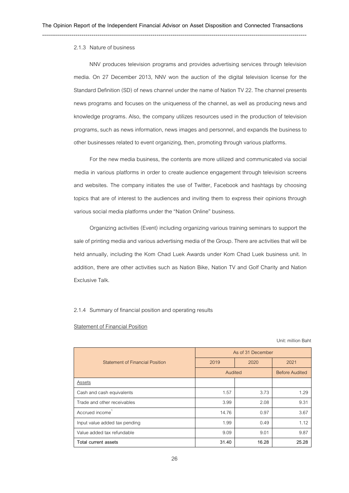#### 2.1.3 Nature of business

NNV produces television programs and provides advertising services through television media. On 27 December 2013, NNV won the auction of the digital television license for the Standard Definition (SD) of news channel under the name of Nation TV 22. The channel presents news programs and focuses on the uniqueness of the channel, as well as producing news and knowledge programs. Also, the company utilizes resources used in the production of television programs, such as news information, news images and personnel, and expands the business to other businesses related to event organizing, then, promoting through various platforms.

For the new media business, the contents are more utilized and communicated via social media in various platforms in order to create audience engagement through television screens and websites. The company initiates the use of Twitter, Facebook and hashtags by choosing topics that are of interest to the audiences and inviting them to express their opinions through various social media platforms under the "Nation Online" business.

Organizing activities (Event) including organizing various training seminars to support the sale of printing media and various advertising media of the Group. There are activities that will be held annually, including the Kom Chad Luek Awards under Kom Chad Luek business unit. In addition, there are other activities such as Nation Bike, Nation TV and Golf Charity and Nation Exclusive Talk.

#### 2.1.4 Summary of financial position and operating results

#### Statement of Financial Position

Unit: million Baht

|                                 | As of 31 December |       |                       |  |
|---------------------------------|-------------------|-------|-----------------------|--|
| Statement of Financial Position | 2019              | 2020  | 2021                  |  |
|                                 | Audited           |       | <b>Before Audited</b> |  |
| Assets                          |                   |       |                       |  |
| Cash and cash equivalents       | 1.57              | 3.73  | 1.29                  |  |
| Trade and other receivables     | 3.99              | 2.08  | 9.31                  |  |
| Accrued income                  | 14.76             | 0.97  | 3.67                  |  |
| Input value added tax pending   | 1.99              | 0.49  | 1.12                  |  |
| Value added tax refundable      | 9.09              | 9.01  | 9.87                  |  |
| Total current assets            | 31.40             | 16.28 | 25.28                 |  |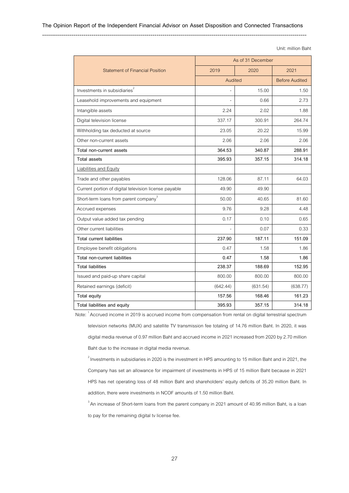--------------------------------------------------------------------------------------------------------------------------------------

Unit: million Baht

|                                                       | As of 31 December |          |                       |  |
|-------------------------------------------------------|-------------------|----------|-----------------------|--|
| <b>Statement of Financial Position</b>                | 2019              | 2020     |                       |  |
|                                                       | Audited           |          | <b>Before Audited</b> |  |
| Investments in subsidiaries <sup>®</sup>              |                   | 15.00    | 1.50                  |  |
| Leasehold improvements and equipment                  |                   | 0.66     | 2.73                  |  |
| Intangible assets                                     | 2.24              | 2.02     | 1.88                  |  |
| Digital television license                            | 337.17            | 300.91   | 264.74                |  |
| Withholding tax deducted at source                    | 23.05             | 20.22    | 15.99                 |  |
| Other non-current assets                              | 2.06              | 2.06     | 2.06                  |  |
| Total non-current assets                              | 364.53            | 340.87   | 288.91                |  |
| Total assets                                          | 395.93            | 357.15   | 314.18                |  |
| <b>Liabilities and Equity</b>                         |                   |          |                       |  |
| Trade and other payables                              | 128.06            | 87.11    | 64.03                 |  |
| Current portion of digital television license payable | 49.90             | 49.90    |                       |  |
| Short-term loans from parent company <sup>3</sup>     | 50.00             | 40.65    | 81.60                 |  |
| Accrued expenses                                      | 9.76              | 9.28     | 4.48                  |  |
| Output value added tax pending                        | 0.17              | 0.10     | 0.65                  |  |
| Other current liabilities                             |                   | 0.07     | 0.33                  |  |
| <b>Total current liabilities</b>                      | 237.90            | 187.11   | 151.09                |  |
| Employee benefit obligations                          | 0.47              | 1.58     | 1.86                  |  |
| Total non-current liabilities                         | 0.47              | 1.58     | 1.86                  |  |
| <b>Total liabilities</b>                              | 238.37            | 188.69   | 152.95                |  |
| Issued and paid-up share capital                      | 800.00            | 800.00   | 800.00                |  |
| Retained earnings (deficit)                           | (642.44)          | (631.54) | (638.77)              |  |
| Total equity                                          | 157.56            | 168.46   | 161.23                |  |
| Total liabilities and equity                          | 395.93            | 357.15   | 314.18                |  |

Note: <sup>1</sup>Accrued income in 2019 is accrued income from compensation from rental on digital terrestrial spectrum

television networks (MUX) and satellite TV transmission fee totaling of 14.76 million Baht. In 2020, it was digital media revenue of 0.97 million Baht and accrued income in 2021 increased from 2020 by 2.70 million Baht due to the increase in digital media revenue.

 $^{2}$  Investments in subsidiaries in 2020 is the investment in HPS amounting to 15 million Baht and in 2021, the Company has set an allowance for impairment of investments in HPS of 15 million Baht because in 2021 HPS has net operating loss of 48 million Baht and shareholders' equity deficits of 35.20 million Baht. In addition, there were investments in NCOF amounts of 1.50 million Baht.

<sup>3</sup> An increase of Short-term loans from the parent company in 2021 amount of 40.95 million Baht, is a loan to pay for the remaining digital tv license fee.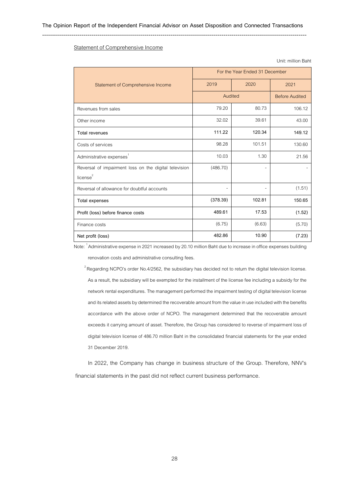--------------------------------------------------------------------------------------------------------------------------------------

|                                                                               | For the Year Ended 31 December |        |                       |  |
|-------------------------------------------------------------------------------|--------------------------------|--------|-----------------------|--|
| Statement of Comprehensive Income                                             | 2019                           | 2020   | 2021                  |  |
|                                                                               | Audited                        |        | <b>Before Audited</b> |  |
| Revenues from sales                                                           | 79.20                          | 80.73  | 106.12                |  |
| Other income                                                                  | 32.02                          | 39.61  | 43.00                 |  |
| <b>Total revenues</b>                                                         | 111.22                         | 120.34 | 149.12                |  |
| Costs of services                                                             | 98.28                          | 101.51 | 130.60                |  |
| Administrative expenses <sup>1</sup>                                          | 10.03                          | 1.30   | 21.56                 |  |
| Reversal of impairment loss on the digital television<br>license <sup>2</sup> | (486.70)                       | ۰      |                       |  |
| Reversal of allowance for doubtful accounts                                   |                                | ۰      | (1.51)                |  |
| Total expenses                                                                | (378.39)                       | 102.81 | 150.65                |  |
| Profit (loss) before finance costs                                            | 489.61                         | 17.53  | (1.52)                |  |
| Finance costs                                                                 | (6.75)                         | (6.63) | (5.70)                |  |
| Net profit (loss)                                                             | 482.86                         | 10.90  | (7.23)                |  |

Unit: million Baht

# Statement of Comprehensive Income

Note: <sup>1</sup>Administrative expense in 2021 increased by 20.10 million Baht due to increase in office expenses building

renovation costs and administrative consulting fees.

 $2R$ egarding NCPO's order No.4/2562, the subsidiary has decided not to return the digital television license. As a result, the subsidiary will be exempted for the installment of the license fee including a subsidy for the network rental expenditures. The management performed the impairment testing of digital television license and its related assets by determined the recoverable amount from the value in use included with the benefits accordance with the above order of NCPO. The management determined that the recoverable amount exceeds it carrying amount of asset. Therefore, the Group has considered to reverse of impairment loss of digital television license of 486.70 million Baht in the consolidated financial statements for the year ended 31 December 2019.

In 2022, the Company has change in business structure of the Group. Therefore, NNV's financial statements in the past did not reflect current business performance.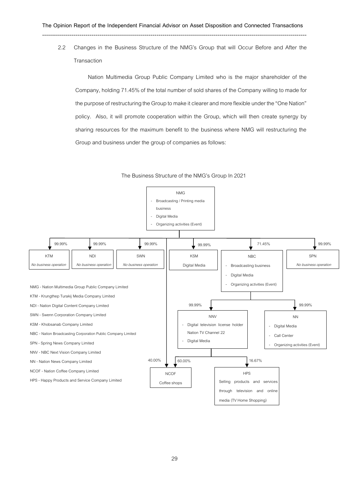2.2 Changes in the Business Structure of the NMG's Group that will Occur Before and After the **Transaction** 

Nation Multimedia Group Public Company Limited who is the major shareholder of the Company, holding 71.45% of the total number of sold shares of the Company willing to made for the purpose of restructuring the Group to make it clearer and more flexible under the "One Nation" policy. Also, it will promote cooperation within the Group, which will then create synergy by sharing resources for the maximum benefit to the business where NMG will restructuring the Group and business under the group of companies as follows:



### The Business Structure of the NMG's Group In 2021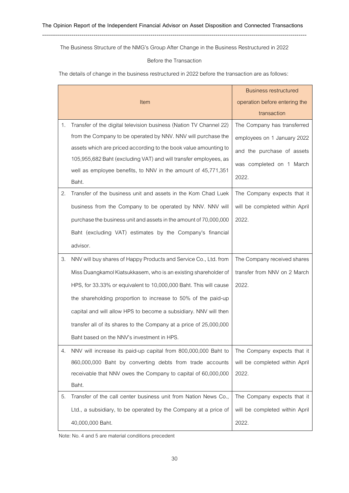The Business Structure of the NMG's Group After Change in the Business Restructured in 2022

# Before the Transaction

The details of change in the business restructured in 2022 before the transaction are as follows:

|    | Item                                                               | <b>Business restructured</b><br>operation before entering the<br>transaction |
|----|--------------------------------------------------------------------|------------------------------------------------------------------------------|
| 1. | Transfer of the digital television business (Nation TV Channel 22) | The Company has transferred                                                  |
|    | from the Company to be operated by NNV. NNV will purchase the      | employees on 1 January 2022                                                  |
|    | assets which are priced according to the book value amounting to   | and the purchase of assets                                                   |
|    | 105,955,682 Baht (excluding VAT) and will transfer employees, as   | was completed on 1 March                                                     |
|    | well as employee benefits, to NNV in the amount of 45,771,351      | 2022.                                                                        |
|    | Baht.                                                              |                                                                              |
| 2. | Transfer of the business unit and assets in the Kom Chad Luek      | The Company expects that it                                                  |
|    | business from the Company to be operated by NNV. NNV will          | will be completed within April                                               |
|    | purchase the business unit and assets in the amount of 70,000,000  | 2022.                                                                        |
|    | Baht (excluding VAT) estimates by the Company's financial          |                                                                              |
|    | advisor.                                                           |                                                                              |
| 3. | NNV will buy shares of Happy Products and Service Co., Ltd. from   | The Company received shares                                                  |
|    | Miss Duangkamol Kiatsukkasem, who is an existing shareholder of    | transfer from NNV on 2 March                                                 |
|    | HPS, for 33.33% or equivalent to 10,000,000 Baht. This will cause  | 2022.                                                                        |
|    | the shareholding proportion to increase to 50% of the paid-up      |                                                                              |
|    | capital and will allow HPS to become a subsidiary. NNV will then   |                                                                              |
|    | transfer all of its shares to the Company at a price of 25,000,000 |                                                                              |
|    | Baht based on the NNV's investment in HPS.                         |                                                                              |
| 4. | NNV will increase its paid-up capital from 800,000,000 Baht to     | The Company expects that it                                                  |
|    | 860,000,000 Baht by converting debts from trade accounts           | will be completed within April                                               |
|    | receivable that NNV owes the Company to capital of 60,000,000      | 2022.                                                                        |
|    | Baht.                                                              |                                                                              |
| 5. | Transfer of the call center business unit from Nation News Co.,    | The Company expects that it                                                  |
|    | Ltd., a subsidiary, to be operated by the Company at a price of    | will be completed within April                                               |
|    | 40,000,000 Baht.                                                   | 2022.                                                                        |

Note: No. 4 and 5 are material conditions precedent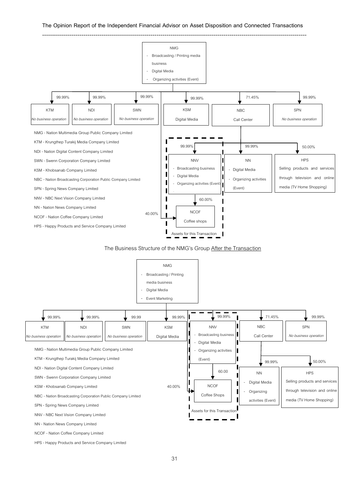

### The Business Structure of the NMG's Group After the Transaction



HPS - Happy Products and Service Company Limited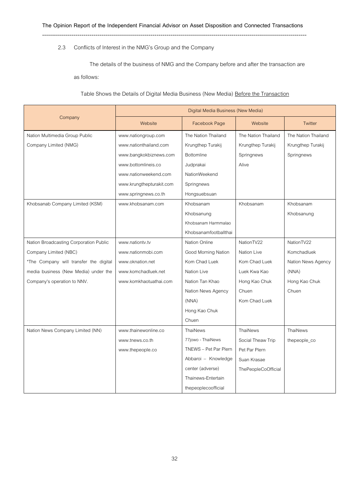# 2.3 Conflicts of Interest in the NMG's Group and the Company

The details of the business of NMG and the Company before and after the transaction are as follows:

Table Shows the Details of Digital Media Business (New Media) Before the Transaction

|                                        | Digital Media Business (New Media) |                       |                            |                     |
|----------------------------------------|------------------------------------|-----------------------|----------------------------|---------------------|
| Company                                | Website                            | Facebook Page         | Website                    | Twitter             |
| Nation Multimedia Group Public         | www.nationgroup.com                | The Nation Thailand   | The Nation Thailand        | The Nation Thailand |
| Company Limited (NMG)                  | www.nationthailand.com             | Krungthep Turakij     | Krungthep Turakij          | Krungthep Turakij   |
|                                        | www.bangkokbiznews.com             | <b>Bottomline</b>     | Springnews                 | Springnews          |
|                                        | www.bottomlineis.co                | Judprakai             | Alive                      |                     |
|                                        | www.nationweekend.com              | NationWeekend         |                            |                     |
|                                        | www.krungthepturakit.com           | Springnews            |                            |                     |
|                                        | www.springnews.co.th               | Hongsuebsuan          |                            |                     |
| Khobsanab Company Limited (KSM)        | www.khobsanam.com                  | Khobsanam             | Khobsanam                  | Khobsanam           |
|                                        |                                    | Khobsanung            |                            | Khobsanung          |
|                                        |                                    | Khobsanam Harmmalao   |                            |                     |
|                                        |                                    | Khobsanamfootballthai |                            |                     |
| Nation Broadcasting Corporation Public | www.nationtv.tv                    | Nation Online         | NationTV22                 | NationTV22          |
| Company Limited (NBC)                  | www.nationmobi.com                 | Good Morning Nation   | Nation Live                | Komchadluek         |
| *The Company will transfer the digital | www.oknation.net                   | Kom Chad Luek         | Kom Chad Luek              | Nation News Agency  |
| media business (New Media) under the   | www.komchadluek.net                | Nation Live           | Luek Kwa Kao               | (NNA)               |
| Company's operation to NNV.            | www.komkhaotuathai.com             | Nation Tan Khao       | Hong Kao Chuk              | Hong Kao Chuk       |
|                                        |                                    | Nation News Agency    | Chuen                      | Chuen               |
|                                        |                                    | (NNA)                 | Kom Chad Luek              |                     |
|                                        |                                    | Hong Kao Chuk         |                            |                     |
|                                        |                                    | Chuen                 |                            |                     |
| Nation News Company Limited (NN)       | www.thainewonline.co               | ThaiNews              | ThaiNews                   | ThaiNews            |
|                                        | www.tnews.co.th                    | 77jowo - ThaiNews     | Social Theaw Trip          | thepeople_co        |
|                                        | www.thepeople.co                   | TNEWS - Pet Par Plern | Pet Par Plern              |                     |
|                                        |                                    | Abbaroi - Knowledge   | Suan Krasae                |                     |
|                                        |                                    | center (adverse)      | <b>ThePeopleCoOfficial</b> |                     |
|                                        |                                    | Thainews-Entertain    |                            |                     |
|                                        |                                    | thepeoplecoofficial   |                            |                     |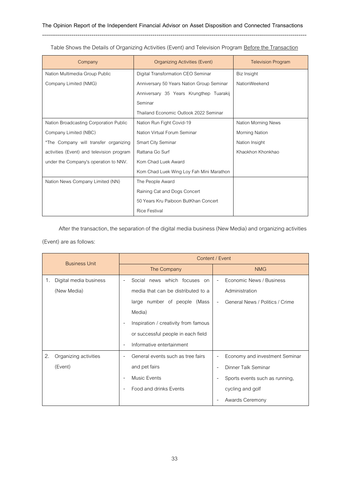| Company                                   | Organizing Activities (Event)             | <b>Television Program</b> |
|-------------------------------------------|-------------------------------------------|---------------------------|
| Nation Multimedia Group Public            | Digital Transformation CEO Seminar        | Biz Insight               |
| Company Limited (NMG)                     | Anniversary 50 Years Nation Group Seminar | NationWeekend             |
|                                           | Anniversary 35 Years Krungthep Tuarakij   |                           |
|                                           | Seminar                                   |                           |
|                                           | Thailand Economic Outlook 2022 Seminar    |                           |
| Nation Broadcasting Corporation Public    | Nation Run Fight Covid-19                 | Nation Morning News       |
| Company Limited (NBC)                     | Nation Virtual Forum Seminar              | Morning Nation            |
| *The Company will transfer organizing     | Smart City Seminar                        | Nation Insight            |
| activities (Event) and television program | Rattana Go Surf                           | Khaokhon Khonkhao         |
| under the Company's operation to NNV.     | Kom Chad Luek Award                       |                           |
|                                           | Kom Chad Luek Wing Loy Fah Mini Marathon  |                           |
| Nation News Company Limited (NN)          | The People Award                          |                           |
|                                           | Raining Cat and Dogs Concert              |                           |
|                                           | 50 Years Kru Paiboon ButKhan Concert      |                           |
|                                           | <b>Rice Festival</b>                      |                           |

Table Shows the Details of Organizing Activities (Event) and Television Program Before the Transaction

After the transaction, the separation of the digital media business (New Media) and organizing activities (Event) are as follows:

| <b>Business Unit</b>         |                                                       | Content / Event                                            |
|------------------------------|-------------------------------------------------------|------------------------------------------------------------|
|                              | The Company                                           | <b>NMG</b>                                                 |
| Digital media business<br>1. | Social news which focuses on                          | Economic News / Business                                   |
| (New Media)                  | media that can be distributed to a                    | Administration                                             |
|                              | large number of people (Mass                          | General News / Politics / Crime                            |
|                              | Media)                                                |                                                            |
|                              | Inspiration / creativity from famous                  |                                                            |
|                              | or successful people in each field                    |                                                            |
|                              | Informative entertainment<br>$\overline{\phantom{a}}$ |                                                            |
| 2.<br>Organizing activities  | General events such as tree fairs                     | Economy and investment Seminar<br>$\overline{\phantom{a}}$ |
| (Event)                      | and pet fairs                                         | Dinner Talk Seminar                                        |
|                              | <b>Music Events</b>                                   | Sports events such as running,                             |
|                              | Food and drinks Events                                | cycling and golf                                           |
|                              |                                                       | Awards Ceremony                                            |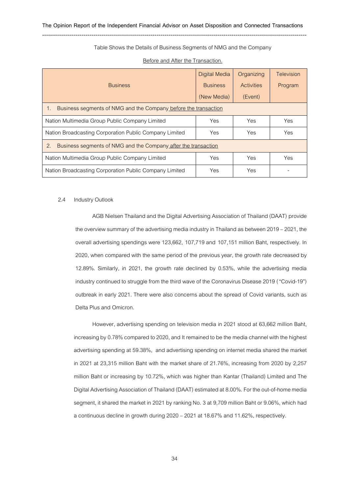--------------------------------------------------------------------------------------------------------------------------------------

### Table Shows the Details of Business Segments of NMG and the Company

| <b>Business</b>                                                      | <b>Digital Media</b><br><b>Business</b><br>(New Media) | Organizing<br><b>Activities</b><br>(Event) | Television<br>Program |  |
|----------------------------------------------------------------------|--------------------------------------------------------|--------------------------------------------|-----------------------|--|
| Business segments of NMG and the Company before the transaction      |                                                        |                                            |                       |  |
| Nation Multimedia Group Public Company Limited                       | Yes                                                    | Yes                                        | Yes                   |  |
| Nation Broadcasting Corporation Public Company Limited               | Yes                                                    | Yes.                                       | Yes                   |  |
| Business segments of NMG and the Company after the transaction<br>2. |                                                        |                                            |                       |  |
| Nation Multimedia Group Public Company Limited                       | Yes                                                    | Yes                                        | Yes                   |  |
| Nation Broadcasting Corporation Public Company Limited               | Yes.                                                   | Yes                                        |                       |  |

### Before and After the Transaction.

#### 2.4 Industry Outlook

AGB Nielsen Thailand and the Digital Advertising Association of Thailand (DAAT) provide the overview summary of the advertising media industry in Thailand as between 2019 – 2021, the overall advertising spendings were 123,662, 107,719 and 107,151 million Baht, respectively. In 2020, when compared with the same period of the previous year, the growth rate decreased by 12.89%. Similarly, in 2021, the growth rate declined by 0.53%, while the advertising media industry continued to struggle from the third wave of the Coronavirus Disease 2019 ("Covid-19") outbreak in early 2021. There were also concerns about the spread of Covid variants, such as Delta Plus and Omicron.

However, advertising spending on television media in 2021 stood at 63,662 million Baht, increasing by 0.78% compared to 2020, and It remained to be the media channel with the highest advertising spending at 59.38%, and advertising spending on internet media shared the market in 2021 at 23,315 million Baht with the market share of 21.76%, increasing from 2020 by 2,257 million Baht or increasing by 10.72%, which was higher than Kantar (Thailand) Limited and The Digital Advertising Association of Thailand (DAAT) estimated at 8.00%. For the out-of-home media segment, it shared the market in 2021 by ranking No. 3 at 9,709 million Baht or 9.06%, which had a continuous decline in growth during 2020 –2021 at 18.67% and 11.62%, respectively.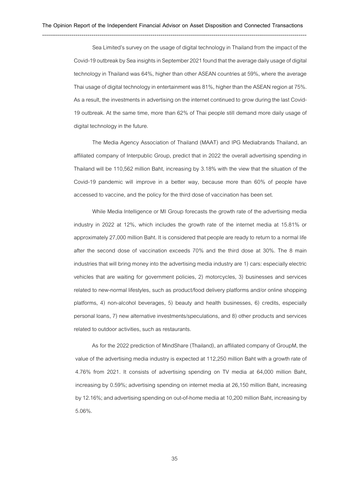Sea Limited's survey on the usage of digital technology in Thailand from the impact of the Covid-19 outbreak by Sea insights in September 2021 found that the average daily usage of digital technology in Thailand was 64%, higher than other ASEAN countries at 59%, where the average Thai usage of digital technology in entertainment was 81%, higher than the ASEAN region at 75%. As a result, the investments in advertising on the internet continued to grow during the last Covid-19 outbreak. At the same time, more than 62% of Thai people still demand more daily usage of digital technology in the future.

The Media Agency Association of Thailand (MAAT) and IPG Mediabrands Thailand, an affiliated company of Interpublic Group, predict that in 2022 the overall advertising spending in Thailand will be 110,562 million Baht, increasing by 3.18% with the view that the situation of the Covid-19 pandemic will improve in a better way, because more than 60% of people have accessed to vaccine, and the policy for the third dose of vaccination has been set.

While Media Intelligence or MI Group forecasts the growth rate of the advertising media industry in 2022 at 12%, which includes the growth rate of the internet media at 15.81% or approximately 27,000 million Baht. It is considered that people are ready to return to a normal life after the second dose of vaccination exceeds 70% and the third dose at 30%. The 8 main industries that will bring money into the advertising media industry are 1) cars: especially electric vehicles that are waiting for government policies, 2) motorcycles, 3) businesses and services related to new-normal lifestyles, such as product/food delivery platforms and/or online shopping platforms, 4) non-alcohol beverages, 5) beauty and health businesses, 6) credits, especially personal loans, 7) new alternative investments/speculations, and 8) other products and services related to outdoor activities, such as restaurants.

As for the 2022 prediction of MindShare (Thailand), an affiliated company of GroupM, the value of the advertising media industry is expected at 112,250 million Baht with a growth rate of 4.76% from 2021. It consists of advertising spending on TV media at 64,000 million Baht, increasing by 0.59%; advertising spending on internet media at 26,150 million Baht, increasing by 12.16%; and advertising spending on out-of-home media at 10,200 million Baht, increasing by 5.06%.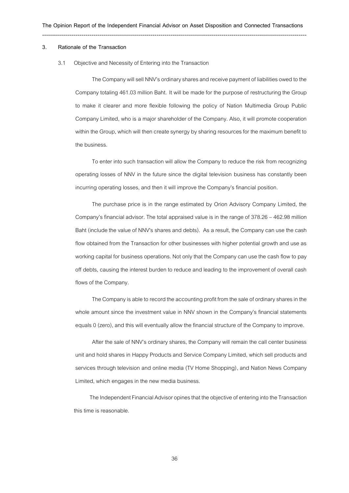#### **3. Rationale of the Transaction**

#### 3.1 Objective and Necessity of Entering into the Transaction

The Company will sell NNV's ordinary shares and receive payment of liabilities owed to the Company totaling 461.03 million Baht. It will be made for the purpose of restructuring the Group to make it clearer and more flexible following the policy of Nation Multimedia Group Public Company Limited, who is a major shareholder of the Company. Also, it will promote cooperation within the Group, which will then create synergy by sharing resources for the maximum benefit to the business.

To enter into such transaction will allow the Company to reduce the risk from recognizing operating losses of NNV in the future since the digital television business has constantly been incurring operating losses, and then it will improve the Company's financial position.

The purchase price is in the range estimated by Orion Advisory Company Limited, the Company's financial advisor. The total appraised value is in the range of 378.26 – 462.98 million Baht (include the value of NNV's shares and debts). As a result, the Company can use the cash flow obtained from the Transaction for other businesses with higher potential growth and use as working capital for business operations. Not only that the Company can use the cash flow to pay off debts, causing the interest burden to reduce and leading to the improvement of overall cash flows of the Company.

The Company is able to record the accounting profit from the sale of ordinary shares in the whole amount since the investment value in NNV shown in the Company's financial statements equals 0 (zero), and this will eventually allow the financial structure of the Company to improve.

After the sale of NNV's ordinary shares, the Company will remain the call center business unit and hold shares in Happy Products and Service Company Limited, which sell products and services through television and online media (TV Home Shopping), and Nation News Company Limited, which engages in the new media business.

The Independent Financial Advisor opines that the objective of entering into the Transaction this time is reasonable.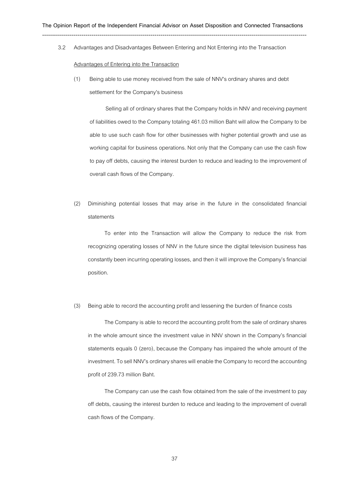--------------------------------------------------------------------------------------------------------------------------------------

3.2 Advantages and Disadvantages Between Entering and Not Entering into the Transaction

#### Advantages of Entering into the Transaction

(1) Being able to use money received from the sale of NNV's ordinary shares and debt settlement for the Company's business

Selling all of ordinary shares that the Company holds in NNV and receiving payment of liabilities owed to the Company totaling 461.03 million Baht will allow the Company to be able to use such cash flow for other businesses with higher potential growth and use as working capital for business operations. Not only that the Company can use the cash flow to pay off debts, causing the interest burden to reduce and leading to the improvement of overall cash flows of the Company.

(2) Diminishing potential losses that may arise in the future in the consolidated financial statements

To enter into the Transaction will allow the Company to reduce the risk from recognizing operating losses of NNV in the future since the digital television business has constantly been incurring operating losses, and then it will improve the Company's financial position.

## (3) Being able to record the accounting profit and lessening the burden of finance costs

The Company is able to record the accounting profit from the sale of ordinary shares in the whole amount since the investment value in NNV shown in the Company's financial statements equals 0 (zero), because the Company has impaired the whole amount of the investment.To sell NNV's ordinary shares will enable the Company to record the accounting profit of 239.73 million Baht.

The Company can use the cash flow obtained from the sale of the investment to pay off debts, causing the interest burden to reduce and leading to the improvement of overall cash flows of the Company.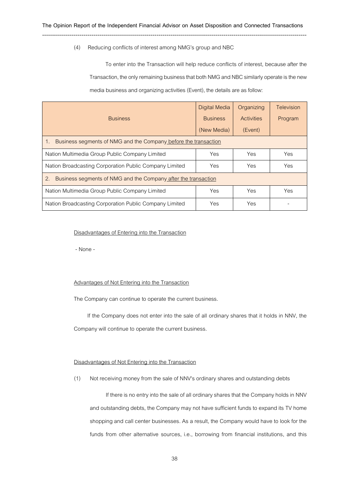## (4) Reducing conflicts of interest among NMG's group and NBC

--------------------------------------------------------------------------------------------------------------------------------------

To enter into the Transaction will help reduce conflicts of interest, because after the Transaction, the only remaining business that both NMG and NBC similarly operate is the new media business and organizing activities (Event), the details are as follow:

|                                                                      | Digital Media   | Organizing        | Television |
|----------------------------------------------------------------------|-----------------|-------------------|------------|
| <b>Business</b>                                                      | <b>Business</b> | <b>Activities</b> | Program    |
|                                                                      | (New Media)     | (Event)           |            |
| Business segments of NMG and the Company before the transaction      |                 |                   |            |
| Nation Multimedia Group Public Company Limited                       | Yes             | Yes               | Yes        |
| Nation Broadcasting Corporation Public Company Limited               | Yes             | Yes               | Yes        |
| 2.<br>Business segments of NMG and the Company after the transaction |                 |                   |            |
| Nation Multimedia Group Public Company Limited                       | Yes             | Yes               | Yes        |
| Nation Broadcasting Corporation Public Company Limited               | Yes             | Yes               |            |

#### Disadvantages of Entering into the Transaction

- None -

#### Advantages of Not Entering into the Transaction

The Company can continue to operate the current business.

If the Company does not enter into the sale of all ordinary shares that it holds in NNV, the Company will continue to operate the current business.

## Disadvantages of Not Entering into the Transaction

(1) Not receiving money from the sale of NNV's ordinary shares and outstanding debts

If there is no entry into the sale of all ordinary shares that the Company holds in NNV and outstanding debts, the Company may not have sufficient funds to expand its TV home shopping and call center businesses. As a result, the Company would have to look for the funds from other alternative sources, i.e., borrowing from financial institutions, and this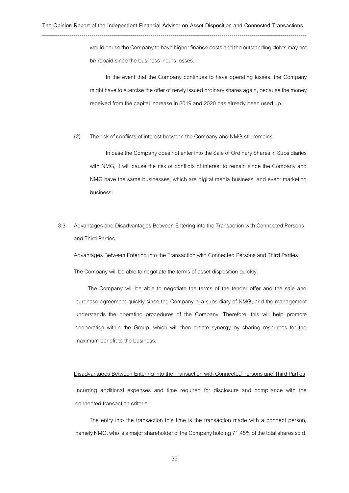would cause the Company to have higher finance costs and the outstanding debts may not be repaid since the business incurs losses.

In the event that the Company continues to have operating losses, the Company might have to exercise the offer of newly issued ordinary shares again, because the money received from the capital increase in 2019 and 2020 has already been used up.

(2) The risk of conflicts of interest between the Company and NMG still remains.

In case the Company does not enter into the Sale of Ordinary Shares in Subsidiaries with NMG, it will cause the risk of conflicts of interest to remain since the Company and NMG have the same businesses, which are digital media business. and event marketing business.

3.3 Advantages and Disadvantages Between Entering into the Transaction with Connected Persons and Third Parties

Advantages Between Entering into the Transaction with Connected Persons and Third Parties

The Company will be able to negotiate the terms of asset disposition quickly.

The Company will be able to negotiate the terms of the tender offer and the sale and purchase agreement quickly since the Company is a subsidiary of NMG, and the management understands the operating procedures of the Company. Therefore, this will help promote cooperation within the Group, which will then create synergy by sharing resources for the maximum benefit to the business.

#### Disadvantages Between Entering into the Transaction with Connected Persons and Third Parties

Incurring additional expenses and time required for disclosure and compliance with the connected transaction criteria

The entry into the transaction this time is the transaction made with a connect person, namely NMG, who is a major shareholder of the Company holding 71.45% of the total shares sold,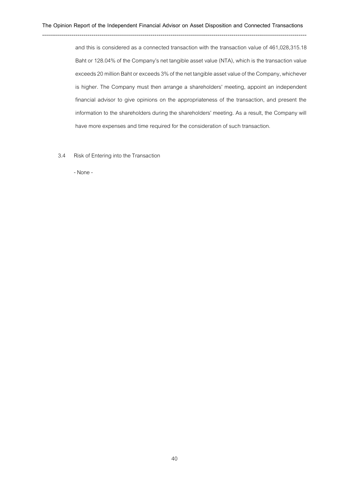and this is considered as a connected transaction with the transaction value of 461,028,315.18 Baht or 128.04% of the Company's net tangible asset value (NTA), which is the transaction value exceeds 20 million Baht or exceeds 3% of the net tangible asset value of the Company, whichever is higher. The Company must then arrange a shareholders' meeting, appoint an independent financial advisor to give opinions on the appropriateness of the transaction, and present the information to the shareholders during the shareholders' meeting. As a result, the Company will have more expenses and time required for the consideration of such transaction.

3.4 Risk of Entering into the Transaction

- None-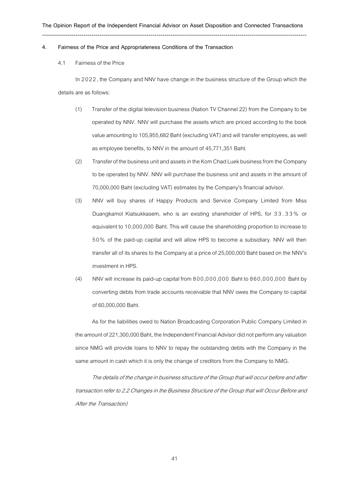#### **4. Fairness of the Price and Appropriateness Conditions of the Transaction**

4.1 Fairness of the Price

In 2022, the Company and NNV have change in the business structure of the Group which the details are as follows:

- (1) Transfer of the digital television business (Nation TV Channel 22) from the Company to be operated by NNV. NNV will purchase the assets which are priced according to the book value amounting to 105,955,682 Baht (excluding VAT) and will transfer employees, as well as employee benefits, to NNV in the amount of 45,771,351 Baht.
- (2) Transfer of the business unit and assets in the Kom Chad Luek business from the Company to be operated by NNV. NNV will purchase the business unit and assets in the amount of 70,000,000 Baht (excluding VAT) estimates by the Company's financial advisor.
- (3) NNV will buy shares of Happy Products and Service Company Limited from Miss Duangkamol Kiatsukkasem, who is an existing shareholder of HPS, for 33.33% or equivalent to 10,000,000 Baht. This will cause the shareholding proportion to increase to 5 0% of the paid-up capital and will allow HPS to become a subsidiary. NNV will then transfer all of its shares to the Company at a price of 25,000,000 Baht based on the NNV's investment in HPS.
- (4) NNV will increase its paid-up capital from 800,000,000 Baht to 860,000,000 Baht by converting debts from trade accounts receivable that NNV owes the Company to capital of 60,000,000 Baht.

As for the liabilities owed to Nation Broadcasting Corporation Public Company Limited in the amount of 221,300,000 Baht, the Independent Financial Advisor did not perform any valuation since NMG will provide loans to NNV to repay the outstanding debts with the Company in the same amount in cash which it is only the change of creditors from the Company to NMG.

The details of the change in business structure of the Group that will occur before and after transaction refer to 2.2 Changes in the Business Structure of the Group that will Occur Before and After the Transaction)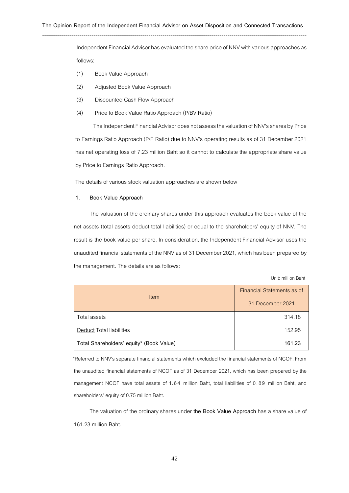#### **The Opinion Report of the Independent Financial Advisor on Asset Disposition and Connected Transactions**

--------------------------------------------------------------------------------------------------------------------------------------

Independent Financial Advisor has evaluated the share price of NNV with various approaches as follows:

- (1) Book Value Approach
- (2) Adjusted Book Value Approach
- (3) Discounted Cash Flow Approach
- (4) Price to Book Value Ratio Approach (P/BV Ratio)

The Independent Financial Advisor does not assess the valuation of NNV's shares by Price to Earnings Ratio Approach (P/E Ratio) due to NNV's operating results as of 31 December 2021 has net operating loss of 7.23 million Baht so it cannot to calculate the appropriate share value by Price to Earnings Ratio Approach.

The details of various stock valuation approaches are shown below

#### **1. Book Value Approach**

The valuation of the ordinary shares under this approach evaluates the book value of the net assets (total assets deduct total liabilities) or equal to the shareholders' equity of NNV. The result is the book value per share. In consideration, the Independent Financial Advisor uses the unaudited financial statements of the NNV as of 31 December 2021, which has been prepared by the management. The details are as follows:

Unit: million Baht

| <b>Item</b>                              | Financial Statements as of<br>31 December 2021 |
|------------------------------------------|------------------------------------------------|
| Total assets                             | 314.18                                         |
| Deduct Total liabilities                 | 152.95                                         |
| Total Shareholders' equity* (Book Value) | 161.23                                         |

\*Referred to NNV's separate financial statements which excluded the financial statements of NCOF. From the unaudited financial statements of NCOF as of 31 December 2021, which has been prepared by the management NCOF have total assets of 1.64 million Baht, total liabilities of 0.89 million Baht, and shareholders' equity of 0.75 million Baht.

The valuation of the ordinary shares under **the Book Value Approach** has a share value of 161.23 million Baht.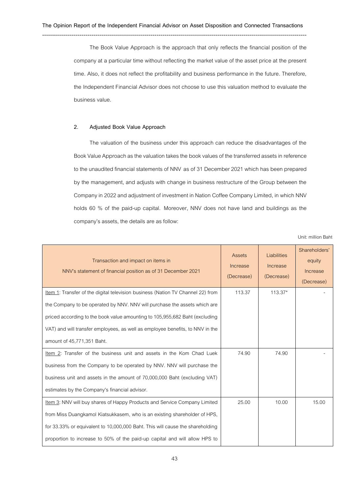--------------------------------------------------------------------------------------------------------------------------------------

The Book Value Approach is the approach that only reflects the financial position of the company at a particular time without reflecting the market value of the asset price at the present time. Also, it does not reflect the profitability and business performance in the future. Therefore, the Independent Financial Advisor does not choose to use this valuation method to evaluate the business value.

## **2. Adjusted Book Value Approach**

The valuation of the business under this approach can reduce the disadvantages of the Book Value Approach as the valuation takes the book values of the transferred assets in reference to the unaudited financial statements of NNV as of 31 December 2021 which has been prepared by the management, and adjusts with change in business restructure of the Group between the Company in 2022 and adjustment of investment in Nation Coffee Company Limited, in which NNV holds 60 % of the paid-up capital. Moreover, NNV does not have land and buildings as the company's assets, the details are as follow:

Unit: million Baht

| Transaction and impact on items in<br>NNV's statement of financial position as of 31 December 2021                                                                                                                                                                                                                                                         | Assets<br>Increase<br>(Decrease) | Liabilities<br>Increase<br>(Decrease) | Shareholders'<br>equity<br>Increase<br>(Decrease) |
|------------------------------------------------------------------------------------------------------------------------------------------------------------------------------------------------------------------------------------------------------------------------------------------------------------------------------------------------------------|----------------------------------|---------------------------------------|---------------------------------------------------|
| Item 1: Transfer of the digital television business (Nation TV Channel 22) from<br>the Company to be operated by NNV. NNV will purchase the assets which are<br>priced according to the book value amounting to 105,955,682 Baht (excluding<br>VAT) and will transfer employees, as well as employee benefits, to NNV in the<br>amount of 45,771,351 Baht. | 113.37                           | 113.37*                               |                                                   |
| Item 2: Transfer of the business unit and assets in the Kom Chad Luek<br>business from the Company to be operated by NNV. NNV will purchase the<br>business unit and assets in the amount of 70,000,000 Baht (excluding VAT)<br>estimates by the Company's financial advisor.                                                                              | 74.90                            | 74.90                                 |                                                   |
| Item 3: NNV will buy shares of Happy Products and Service Company Limited<br>from Miss Duangkamol Kiatsukkasem, who is an existing shareholder of HPS,<br>for 33.33% or equivalent to 10,000,000 Baht. This will cause the shareholding<br>proportion to increase to 50% of the paid-up capital and will allow HPS to                                      | 25.00                            | 10.00                                 | 15.00                                             |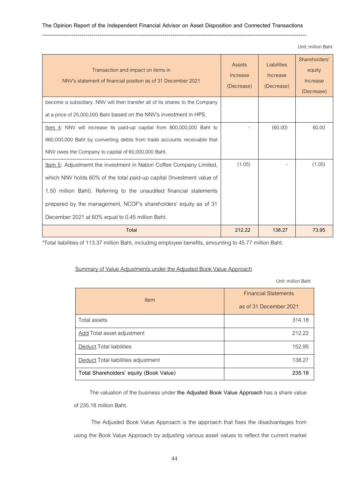## **The Opinion Report of the Independent Financial Advisor on Asset Disposition and Connected Transactions**

#### --------------------------------------------------------------------------------------------------------------------------------------

Unit: million Baht

| Transaction and impact on items in<br>NNV's statement of financial position as of 31 December 2021 | <b>Assets</b><br>Increase<br>(Decrease) | Liabilities<br>Increase<br>(Decrease) | Shareholders'<br>equity<br>Increase<br>(Decrease) |
|----------------------------------------------------------------------------------------------------|-----------------------------------------|---------------------------------------|---------------------------------------------------|
| become a subsidiary. NNV will then transfer all of its shares to the Company                       |                                         |                                       |                                                   |
| at a price of 25,000,000 Baht based on the NNV's investment in HPS.                                |                                         |                                       |                                                   |
| Item 4: NNV will increase its paid-up capital from 800,000,000 Baht to                             |                                         | (60.00)                               | 60.00                                             |
| 860,000,000 Baht by converting debts from trade accounts receivable that                           |                                         |                                       |                                                   |
| NNV owes the Company to capital of 60,000,000 Baht.                                                |                                         |                                       |                                                   |
| Item 5: Adjustmemt the investment in Nation Coffee Company Limited,                                | (1.05)                                  |                                       | (1.05)                                            |
| which NNV holds 60% of the total paid-up capital (Investment value of                              |                                         |                                       |                                                   |
| 1.50 million Baht). Referring to the unaudited financial statements                                |                                         |                                       |                                                   |
| prepared by the management, NCOF's shareholders' equity as of 31                                   |                                         |                                       |                                                   |
| December 2021 at 60% equal to 0.45 million Baht.                                                   |                                         |                                       |                                                   |
| <b>Total</b>                                                                                       | 212.22                                  | 138.27                                | 73.95                                             |

\*Total liabilities of 113.37 million Baht, including employee benefits, amounting to 45.77 million Baht.

# Summary of Value Adjustments under the Adjusted Book Value Approach

Unit: million Baht

| <b>Item</b>                                | <b>Financial Statements</b> |
|--------------------------------------------|-----------------------------|
|                                            | as of 31 December 2021      |
| Total assets                               | 314.18                      |
| Add Total asset adjustment                 | 212.22                      |
| Deduct Total liabilities                   | 152.95                      |
| <b>Deduct</b> Total liabilities adjustment | 138.27                      |
| Total Shareholders' equity (Book Value)    | 235.18                      |

The valuation of the business under **the Adjusted Book Value Approach**has a share value of 235.18 million Baht.

The Adjusted Book Value Approach is the approach that fixes the disadvantages from using the Book Value Approach by adjusting various asset values to reflect the current market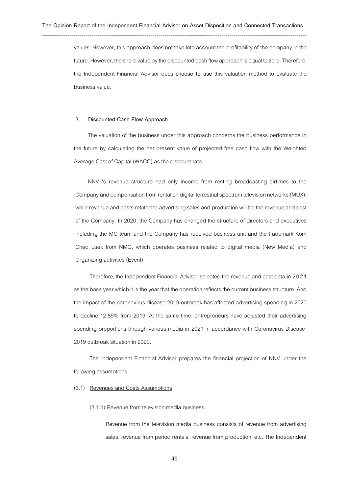values. However, this approach does not take into account the profitability of the company in the future. However, the share value by the discounted cash flow approach is equal to zero. Therefore, the Independent Financial Advisor does **choose to use** this valuation method to evaluate the business value.

#### **3. Discounted Cash Flow Approach**

The valuation of the business under this approach concerns the business performance in the future by calculating the net present value of projected free cash flow with the Weighted Average Cost of Capital (WACC) as the discount rate.

NNV 's revenue structure had only income from renting broadcasting airtimes to the Company and compensation from rental on digital terrestrial spectrum television networks (MUX), while revenue and costs related to advertising sales and production will be the revenue and cost of the Company. In 2020, the Company has changed the structure of directors and executives including the MC team and the Company has received business unit and the trademark Kom Chad Luek from NMG, which operates business related to digital media (New Media) and Organizing activities (Event).

Therefore, the Independent Financial Advisor selected the revenue and cost data in 2021 as the base year which it is the year that the operation reflects the current business structure. And the impact of the coronavirus disease 2019 outbreak has affected advertising spending in 2020 to decline 12.89% from 2019. At the same time, entrepreneurs have adjusted their advertising spending proportions through various media in 2021 in accordance with Coronavirus Disease-2019 outbreak situation in 2020.

The Independent Financial Advisor prepares the financial projection of NNV under the following assumptions:

## (3.1) Revenues and Costs Assumptions

#### (3.1.1) Revenue from television media business

Revenue from the television media business consists of revenue from advertising sales, revenue from period rentals, revenue from production, etc. The Independent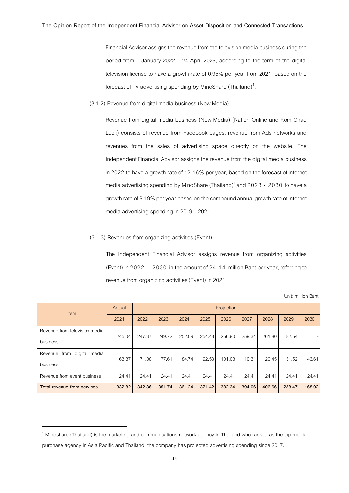--------------------------------------------------------------------------------------------------------------------------------------

Financial Advisor assigns the revenue from the television media business during the period from 1 January 2022 – 24 April 2029, according to the term of the digital television license to have a growth rate of 0.95% per year from 2021, based on the forecast of TV advertising spending by MindShare (Thailand)<sup>1</sup>. .

(3.1.2) Revenue from digital media business (New Media)

Revenue from digital media business (New Media) (Nation Online and Kom Chad Luek) consists of revenue from Facebook pages, revenue from Ads networks and revenues from the sales of advertising space directly on the website. The Independent Financial Advisor assigns the revenue from the digital media business in 2022 to have a growth rate of 12.16% per year, based on the forecast of internet media advertising spending by MindShare (Thailand)<sup>1</sup> and 2023 - 2030 to have a growth rate of 9.19% per year based on the compound annual growth rate of internet media advertising spending in 2019 –2021.

#### (3.1.3) Revenues from organizing activities (Event)

The Independent Financial Advisor assigns revenue from organizing activities (Event) in 2022 – 2030 in the amount of 24.14 million Baht per year, referring to revenue from organizing activities (Event) in 2021.

Unit: million Baht

| <b>Item</b>                   | Actual |        | Projection |        |        |        |        |        |        |        |
|-------------------------------|--------|--------|------------|--------|--------|--------|--------|--------|--------|--------|
|                               | 2021   | 2022   | 2023       | 2024   | 2025   | 2026   | 2027   | 2028   | 2029   | 2030   |
| Revenue from television media | 245.04 | 247.37 | 249.72     | 252.09 | 254.48 | 256.90 | 259.34 | 261.80 | 82.54  |        |
| business                      |        |        |            |        |        |        |        |        |        |        |
| from digital media<br>Revenue | 63.37  | 71.08  | 77.61      | 84.74  | 92.53  | 101.03 | 110.31 | 120.45 | 131.52 | 143.61 |
| business                      |        |        |            |        |        |        |        |        |        |        |
| Revenue from event business   | 24.41  | 24.41  | 24.41      | 24.41  | 24.41  | 24.41  | 24.41  | 24.41  | 24.41  | 24.41  |
| Total revenue from services   | 332.82 | 342.86 | 351.74     | 361.24 | 371.42 | 382.34 | 394.06 | 406.66 | 238.47 | 168.02 |

 $1$  Mindshare (Thailand) is the marketing and communications network agency in Thailand who ranked as the top media purchase agency in Asia Pacific and Thailand, the company has projected advertising spending since 2017.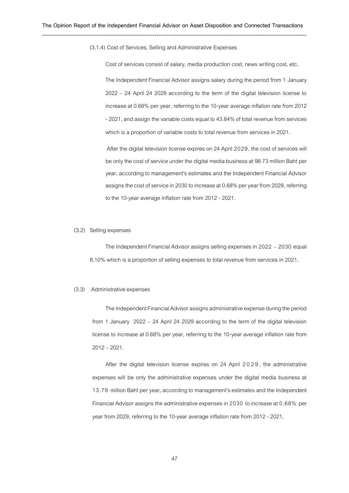(3.1.4) Cost of Services, Selling and Administrative Expenses

Cost of services consist of salary, media production cost, news writing cost, etc.

The Independent Financial Advisor assigns salary during the period from 1 January 2022 – 24 April 24 2029 according to the term of the digital television license to increase at 0.68% per year, referring to the 10-year average inflation rate from 2012 -2021, and assign the variable costs equal to 43.84% of total revenue from services which is a proportion of variable costs to total revenue from services in 2021.

After the digital television license expires on 24 April 2029, the cost of services will be only the cost of service under the digital media business at 98.73 million Baht per year, according to management's estimates and the Independent Financial Advisor assigns the cost of service in 2030 to increase at 0.68% per year from 2029, referring to the 10-year average inflation rate from 2012 - 2021.

#### (3.2) Selling expenses

The Independent Financial Advisor assigns selling expenses in 2022 – 2030 equal 8.10% which is a proportion of selling expenses to total revenue from services in 2021.

#### (3.3) Administrative expenses

The Independent Financial Advisor assigns administrative expense during the period from 1 January 2022 – 24 April 24 2029 according to the term of the digital television license to increase at 0.68% per year, referring to the 10-year average inflation rate from 2012 –2021.

After the digital television license expires on 24 April 2029, the administrative expenses will be only the administrative expenses under the digital media business at 13.79 million Baht per year, according to management's estimates and the Independent Financial Advisor assigns the administrative expenses in 2030 to increase at 0.68% per year from 2029, referring to the 10-year average inflation rate from 2012 - 2021.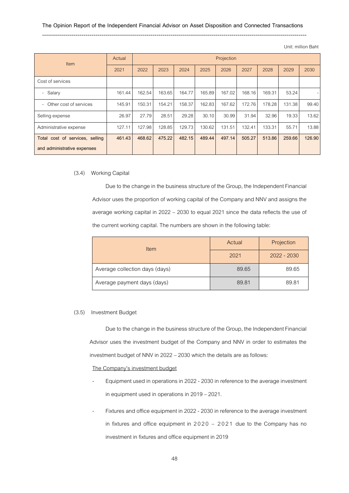#### **The Opinion Report of the Independent Financial Advisor on Asset Disposition and Connected Transactions**

# --------------------------------------------------------------------------------------------------------------------------------------

Unit: million Baht

| Actual<br><b>Item</b>                              |        |        | Projection |        |        |        |        |        |        |        |
|----------------------------------------------------|--------|--------|------------|--------|--------|--------|--------|--------|--------|--------|
|                                                    | 2021   | 2022   | 2023       | 2024   | 2025   | 2026   | 2027   | 2028   | 2029   | 2030   |
| Cost of services                                   |        |        |            |        |        |        |        |        |        |        |
| - Salary                                           | 161.44 | 162.54 | 163.65     | 164.77 | 165.89 | 167.02 | 168.16 | 169.31 | 53.24  |        |
| Other cost of services<br>$\overline{\phantom{0}}$ | 145.91 | 150.31 | 154.21     | 158.37 | 162.83 | 167.62 | 172.76 | 178.28 | 131.38 | 99.40  |
| Selling expense                                    | 26.97  | 27.79  | 28.51      | 29.28  | 30.10  | 30.99  | 31.94  | 32.96  | 19.33  | 13.62  |
| Administrative expense                             | 127.11 | 127.98 | 128.85     | 129.73 | 130.62 | 131.51 | 132.41 | 133.31 | 55.71  | 13.88  |
| Total cost of services, selling                    | 461.43 | 468.62 | 475.22     | 482.15 | 489.44 | 497.14 | 505.27 | 513.86 | 259.66 | 126.90 |
| and administrative expenses                        |        |        |            |        |        |        |        |        |        |        |

## (3.4) Working Capital

Due to the change in the business structure of the Group, the Independent Financial Advisor uses the proportion of working capital of the Company and NNV and assigns the average working capital in 2022 – 2030 to equal 2021 since the data reflects the use of the current working capital. The numbers are shown in the following table:

| Item                           | Actual | Projection    |  |  |
|--------------------------------|--------|---------------|--|--|
|                                | 2021   | $2022 - 2030$ |  |  |
| Average collection days (days) | 89.65  | 89.65         |  |  |
| Average payment days (days)    | 89.81  | 89.81         |  |  |

## (3.5) Investment Budget

Due to the change in the business structure of the Group, the Independent Financial Advisor uses the investment budget of the Company and NNV in order to estimates the investment budget of NNV in 2022 –2030 which the details are as follows:

The Company's investment budget

- Equipment used in operations in 2022 2030 in reference to the average investment in equipment used in operations in 2019 –2021.
- Fixtures and office equipment in 2022 2030 in reference to the average investment in fixtures and office equipment in 2020 – 2021 due to the Company has no investment in fixtures and office equipment in 2019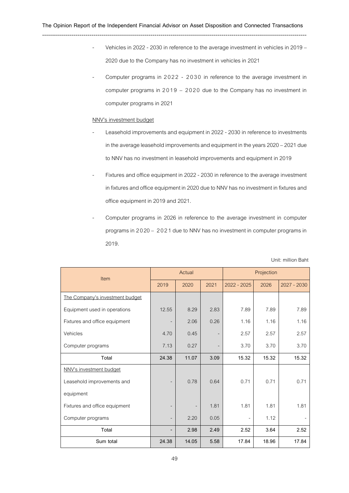Vehicles in 2022 - 2030 in reference to the average investment in vehicles in 2019 – 2020 due to the Company has no investment in vehicles in 2021

--------------------------------------------------------------------------------------------------------------------------------------

Computer programs in 2022 - 2030 in reference to the average investment in computer programs in 2019 – 2020 due to the Company has no investment in computer programs in 2021

### NNV's investment budget

- Leasehold improvements and equipment in 2022 2030 in reference to investments in the average leasehold improvements and equipment in the years 2020 –2021 due to NNV has no investment in leasehold improvements and equipment in 2019
- Fixtures and office equipment in 2022 2030 in reference to the average investment in fixtures and office equipment in 2020 due to NNV has no investment in fixtures and office equipment in 2019 and 2021.
- Computer programs in 2026 in reference to the average investment in computer programs in 2 020 – 2021 due to NNV has no investment in computer programs in 2019.

| <b>Item</b>                     |                          | Actual |                          | Projection    |       |               |  |
|---------------------------------|--------------------------|--------|--------------------------|---------------|-------|---------------|--|
|                                 | 2019                     | 2020   | 2021                     | $2022 - 2025$ | 2026  | $2027 - 2030$ |  |
| The Company's investment budget |                          |        |                          |               |       |               |  |
| Equipment used in operations    | 12.55                    | 8.29   | 2.83                     | 7.89          | 7.89  | 7.89          |  |
| Fixtures and office equipment   |                          | 2.06   | 0.26                     | 1.16          | 1.16  | 1.16          |  |
| Vehicles                        | 4.70                     | 0.45   |                          | 2.57          | 2.57  | 2.57          |  |
| Computer programs               | 7.13                     | 0.27   | $\overline{\phantom{a}}$ | 3.70          | 3.70  | 3.70          |  |
| Total                           | 24.38                    | 11.07  | 3.09                     | 15.32         | 15.32 | 15.32         |  |
| NNV's investment budget         |                          |        |                          |               |       |               |  |
| Leasehold improvements and      | $\overline{\phantom{a}}$ | 0.78   | 0.64                     | 0.71          | 0.71  | 0.71          |  |
| equipment                       |                          |        |                          |               |       |               |  |
| Fixtures and office equipment   |                          |        | 1.81                     | 1.81          | 1.81  | 1.81          |  |
| Computer programs               | $\overline{\phantom{a}}$ | 2.20   | 0.05                     |               | 1.12  |               |  |
| Total                           |                          | 2.98   | 2.49                     | 2.52          | 3.64  | 2.52          |  |
| Sum total                       | 24.38                    | 14.05  | 5.58                     | 17.84         | 18.96 | 17.84         |  |

Unit: million Baht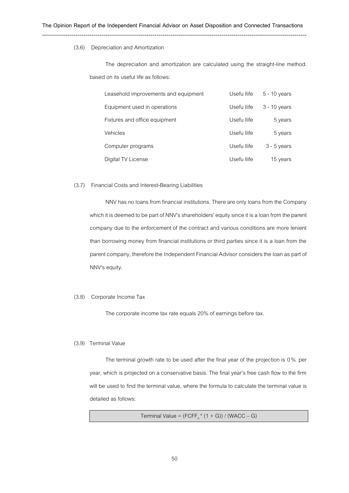#### (3.6) Depreciation and Amortization

The depreciation and amortization are calculated using the straight-line method. based on its useful life as follows:

| Leasehold improvements and equipment | Usefu llife | $5 - 10$ years |
|--------------------------------------|-------------|----------------|
| Equipment used in operations         | Usefu llife | $3 - 10$ years |
| Fixtures and office equipment        | Usefu Ilife | 5 years        |
| <b>Vehicles</b>                      | Usefu Ilife | 5 years        |
| Computer programs                    | Usefu Ilife | $3 - 5$ years  |
| Digital TV License                   | Usefu Ilife | 15 years       |

#### (3.7) Financial Costs and Interest-Bearing Liabilities

NNV has no loans from financial institutions. There are only loans from the Company which it is deemed to be part of NNV's shareholders' equity since it is a loan from the parent company due to the enforcement of the contract and various conditions are more lenient than borrowing money from financial institutions or third parties since it is a loan from the parent company, therefore the Independent Financial Advisor considers the loan as part of NNV's equity.

### (3.8) Corporate Income Tax

The corporate income tax rate equals 20% of earnings before tax.

### (3.9) Terminal Value

The terminal growth rate to be used after the final year of the projection is 0 % per year, which is projected on a conservative basis. The final year's free cash flow to the firm will be used to find the terminal value, where the formula to calculate the terminal value is detailed as follows:

```
Terminal Value = (FCFF_n^*(1 + G)) / (WACC - G)
```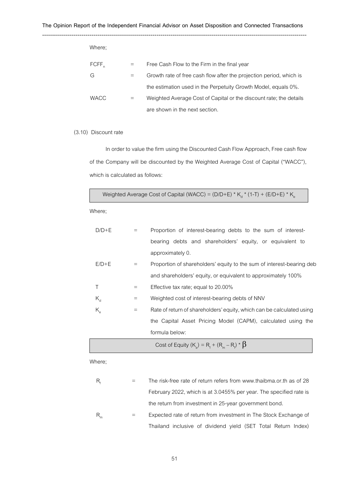| Where;            |                                                                     |
|-------------------|---------------------------------------------------------------------|
| FCFF <sub>n</sub> | Free Cash Flow to the Firm in the final year                        |
| G                 | Growth rate of free cash flow after the projection period, which is |
|                   | the estimation used in the Perpetuity Growth Model, equals 0%.      |
| <b>WACC</b>       | Weighted Average Cost of Capital or the discount rate; the details  |
|                   | are shown in the next section.                                      |

## (3.10) Discount rate

In order to value the firm using the Discounted Cash Flow Approach, Free cash flow of the Company will be discounted by the Weighted Average Cost of Capital ("WACC"), which is calculated as follows:

Weighted Average Cost of Capital (WACC) = (D/D+E) \*  $K_d$  \* (1-T) + (E/D+E) \*  $K_e$ 

Where;

| $D/D + E$                     |                                | Proportion of interest-bearing debts to the sum of interest-          |
|-------------------------------|--------------------------------|-----------------------------------------------------------------------|
|                               |                                | bearing debts and shareholders' equity, or equivalent to              |
|                               |                                | approximately 0.                                                      |
| $E/D + E$                     | $=$                            | Proportion of shareholders' equity to the sum of interest-bearing deb |
|                               |                                | and shareholders' equity, or equivalent to approximately 100%         |
| Τ                             | $=$                            | Effective tax rate; equal to 20.00%                                   |
| $K_{d}$                       | $\equiv$                       | Weighted cost of interest-bearing debts of NNV                        |
| $K_{\scriptscriptstyle\rm e}$ | $\qquad \qquad =\qquad \qquad$ | Rate of return of shareholders' equity, which can be calculated using |
|                               |                                | the Capital Asset Pricing Model (CAPM), calculated using the          |
|                               |                                | formula below:                                                        |
|                               |                                | Cost of Equity $(K_a) = R_f + (R_m - R_f) * \beta$                    |

Where;

| R,                         | The risk-free rate of return refers from www.thaibma.or.th as of 28 |
|----------------------------|---------------------------------------------------------------------|
|                            | February 2022, which is at 3.0455% per year. The specified rate is  |
|                            | the return from investment in 25-year government bond.              |
| $\mathsf{R}_{_\mathrm{m}}$ | Expected rate of return from investment in The Stock Exchange of    |
|                            | Thailand inclusive of dividend yield (SET Total Return Index)       |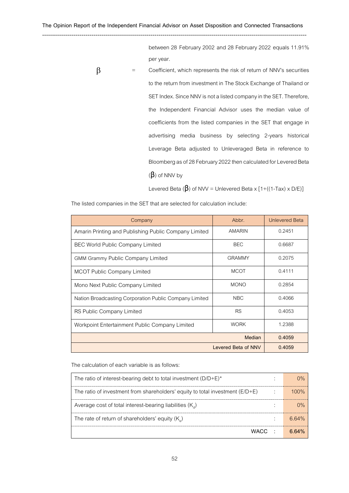between 28 February 2002 and 28 February 2022 equals 11.91% per year.

 $\beta$  = Coefficient, which represents the risk of return of NNV's securities to the return from investment in The Stock Exchange of Thailand or SET Index. Since NNV is not a listed company in the SET. Therefore, the Independent Financial Advisor uses the median value of coefficients from the listed companies in the SET that engage in advertising media business by selecting 2-years historical Leverage Beta adjusted to Unleveraged Beta in reference to Bloomberg as of 28 February 2022 then calculated for Levered Beta  $(\beta)$  of NNV by

Levered Beta ( $\beta$ ) of NVV = Unlevered Beta x [1+((1-Tax) x D/E)]

| Company                                                | Abbr.               | <b>Unlevered Beta</b> |
|--------------------------------------------------------|---------------------|-----------------------|
| Amarin Printing and Publishing Public Company Limited  | <b>AMARIN</b>       | 0.2451                |
| <b>BEC World Public Company Limited</b>                | <b>BEC</b>          | 0.6687                |
| <b>GMM Grammy Public Company Limited</b>               | <b>GRAMMY</b>       | 0.2075                |
| <b>MCOT Public Company Limited</b>                     | <b>MCOT</b>         | 0.4111                |
| Mono Next Public Company Limited                       | <b>MONO</b>         | 0.2854                |
| Nation Broadcasting Corporation Public Company Limited | <b>NBC</b>          | 0.4066                |
| RS Public Company Limited                              | <b>RS</b>           | 0.4053                |
| Workpoint Entertainment Public Company Limited         | <b>WORK</b>         | 1.2388                |
|                                                        | Median              | 0.4059                |
|                                                        | Levered Beta of NNV | 0.4059                |

The listed companies in the SET that are selected for calculation include:

The calculation of each variable is as follows:

| The ratio of interest-bearing debt to total investment $(D/D+E)^*$                  |  |
|-------------------------------------------------------------------------------------|--|
| The ratio of investment from shareholders' equity to total investment ( $E/D + E$ ) |  |
| Average cost of total interest-bearing liabilities $(K_{d})$                        |  |
| The rate of return of shareholders' equity $(K_{\alpha})$                           |  |
| WACC ·                                                                              |  |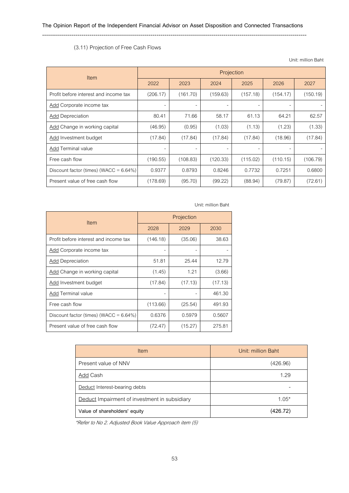## --------------------------------------------------------------------------------------------------------------------------------------

## (3.11) Projection of Free Cash Flows

Unit: million Baht

| <b>Item</b>                                | Projection |                          |          |          |          |          |  |
|--------------------------------------------|------------|--------------------------|----------|----------|----------|----------|--|
|                                            | 2022       | 2023                     | 2024     | 2025     | 2026     | 2027     |  |
| Profit before interest and income tax      | (206.17)   | (161.70)                 | (159.63) | (157.18) | (154.17) | (150.19) |  |
| Add Corporate income tax                   |            | $\overline{\phantom{0}}$ |          |          |          |          |  |
| <b>Add Depreciation</b>                    | 80.41      | 71.66                    | 58.17    | 61.13    | 64.21    | 62.57    |  |
| Add Change in working capital              | (46.95)    | (0.95)                   | (1.03)   | (1.13)   | (1.23)   | (1.33)   |  |
| Add Investment budget                      | (17.84)    | (17.84)                  | (17.84)  | (17.84)  | (18.96)  | (17.84)  |  |
| Add Terminal value                         |            | ۰                        |          |          |          |          |  |
| Free cash flow                             | (190.55)   | (108.83)                 | (120.33) | (115.02) | (110.15) | (106.79) |  |
| Discount factor (times) (WACC = $6.64\%$ ) | 0.9377     | 0.8793                   | 0.8246   | 0.7732   | 0.7251   | 0.6800   |  |
| Present value of free cash flow            | (178.69)   | (95.70)                  | (99.22)  | (88.94)  | (79.87)  | (72.61)  |  |

# Unit: million Baht

| <b>Item</b>                                | Projection |         |         |  |
|--------------------------------------------|------------|---------|---------|--|
|                                            | 2028       | 2029    | 2030    |  |
| Profit before interest and income tax      | (146.18)   | (35.06) | 38.63   |  |
| <b>Add Corporate income tax</b>            |            |         |         |  |
| <b>Add Depreciation</b>                    | 51.81      | 25.44   | 12.79   |  |
| Add Change in working capital              | (1.45)     | 1.21    | (3.66)  |  |
| Add Investment budget                      | (17.84)    | (17.13) | (17.13) |  |
| Add Terminal value                         |            |         | 461.30  |  |
| Free cash flow                             | (113.66)   | (25.54) | 491.93  |  |
| Discount factor (times) (WACC = $6.64\%$ ) | 0.6376     | 0.5979  | 0.5607  |  |
| Present value of free cash flow            | (72.47)    | (15.27) | 275.81  |  |

| Item                                          | Unit: million Baht |
|-----------------------------------------------|--------------------|
| Present value of NNV                          | (426.96)           |
| Add Cash                                      | 1.29               |
| Deduct Interest-bearing debts                 |                    |
| Deduct Impairment of investment in subsidiary | $1.05*$            |
| Value of shareholders' equity                 | (426.72)           |

\*Refer to No 2. Adjusted Book Value Approach item (5)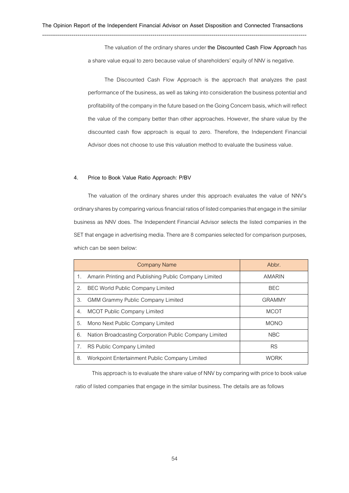The valuation of the ordinary shares under **the Discounted Cash Flow Approach**has a share value equal to zero because value of shareholders' equity of NNV is negative.

The Discounted Cash Flow Approach is the approach that analyzes the past performance of the business, as well as taking into consideration the business potential and profitability of the company in the future based on the Going Concern basis, which will reflect the value of the company better than other approaches. However, the share value by the discounted cash flow approach is equal to zero. Therefore, the Independent Financial Advisor does not choose to use this valuation method to evaluate the business value.

### **4. Price to Book Value Ratio Approach: P/BV**

The valuation of the ordinary shares under this approach evaluates the value of NNV's ordinary shares by comparing various financial ratios of listed companies that engage in the similar business as NNV does. The Independent Financial Advisor selects the listed companies in the SET that engage in advertising media. There are 8 companies selected for comparison purposes, which can be seen below:

|    | <b>Company Name</b>                                    | Abbr.         |
|----|--------------------------------------------------------|---------------|
| 1. | Amarin Printing and Publishing Public Company Limited  | AMARIN        |
| 2. | <b>BEC World Public Company Limited</b>                | <b>BEC</b>    |
| 3. | <b>GMM Grammy Public Company Limited</b>               | <b>GRAMMY</b> |
| 4. | <b>MCOT Public Company Limited</b>                     | <b>MCOT</b>   |
| 5. | Mono Next Public Company Limited                       | <b>MONO</b>   |
| 6. | Nation Broadcasting Corporation Public Company Limited | <b>NBC</b>    |
| 7. | <b>RS Public Company Limited</b>                       | <b>RS</b>     |
| 8. | Workpoint Entertainment Public Company Limited         | <b>WORK</b>   |

This approach is to evaluate the share value of NNV by comparing with price to book value ratio of listed companies that engage in the similar business. The details are as follows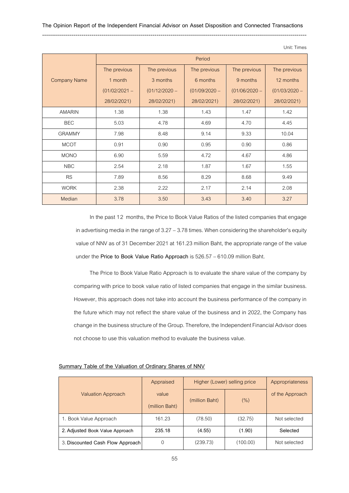|                     |                 |                 | Period          |                 |                 |
|---------------------|-----------------|-----------------|-----------------|-----------------|-----------------|
|                     | The previous    | The previous    | The previous    | The previous    | The previous    |
| <b>Company Name</b> | 1 month         | 3 months        | 6 months        | 9 months        | 12 months       |
|                     | $(01/02/2021 -$ | $(01/12/2020 -$ | $(01/09/2020 -$ | $(01/06/2020 -$ | $(01/03/2020 -$ |
|                     | 28/02/2021)     | 28/02/2021)     | 28/02/2021)     | 28/02/2021)     | 28/02/2021)     |
| <b>AMARIN</b>       | 1.38            | 1.38            | 1.43            | 1.47            | 1.42            |
| <b>BEC</b>          | 5.03            | 4.78            | 4.69            | 4.70            | 4.45            |
| <b>GRAMMY</b>       | 7.98            | 8.48            | 9.14            | 9.33            | 10.04           |
| <b>MCOT</b>         | 0.91            | 0.90            | 0.95            | 0.90            | 0.86            |
| <b>MONO</b>         | 6.90            | 5.59            | 4.72            | 4.67            | 4.86            |
| <b>NBC</b>          | 2.54            | 2.18            | 1.87            | 1.67            | 1.55            |
| <b>RS</b>           | 7.89            | 8.56            | 8.29            | 8.68            | 9.49            |
| <b>WORK</b>         | 2.38            | 2.22            | 2.17            | 2.14            | 2.08            |
| Median              | 3.78            | 3.50            | 3.43            | 3.40            | 3.27            |

In the past 12 months, the Price to Book Value Ratios of the listed companies that engage in advertising media in the range of  $3.27 - 3.78$  times. When considering the shareholder's equity value of NNV as of 31 December 2021 at 161.23 million Baht, the appropriate range of the value under the **Price to Book Value Ratio Approach** is 526.57 –610.09 million Baht.

The Price to Book Value Ratio Approach is to evaluate the share value of the company by comparing with price to book value ratio of listed companies that engage in the similar business. However, this approach does not take into account the business performance of the company in the future which may not reflect the share value of the business and in 2022, the Company has change in the business structure of the Group. Therefore, the Independent Financial Advisor does not choose to use this valuation method to evaluate the business value.

#### **Summary Table of the Valuation of Ordinary Shares of NNV**

|                                  | Appraised               | Higher (Lower) selling price |          | Appropriateness |
|----------------------------------|-------------------------|------------------------------|----------|-----------------|
| <b>Valuation Approach</b>        | value<br>(million Baht) | (million Baht)               | (%)      | of the Approach |
| I. Book Value Approach           | 161.23                  | (78.50)                      | (32.75)  | Not selected    |
| 2. Adjusted Book Value Approach  | 235.18                  | (4.55)                       | (1.90)   | Selected        |
| 3. Discounted Cash Flow Approach |                         | (239.73)                     | (100.00) | Not selected    |

Unit: Times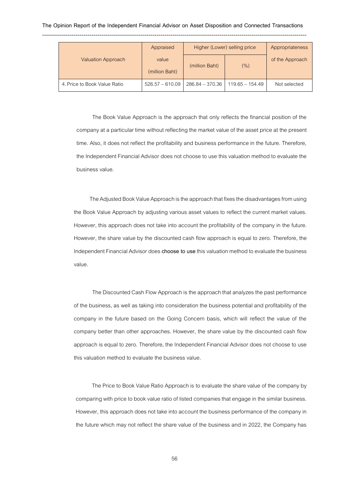|                              | Appraised               | Higher (Lower) selling price |                   | Appropriateness |
|------------------------------|-------------------------|------------------------------|-------------------|-----------------|
| <b>Valuation Approach</b>    | value<br>(million Baht) | (million Baht)               | $(\% )$           | of the Approach |
| 4. Price to Book Value Ratio | $526.57 - 610.09$       | 286.84 – 370.36              | $119.65 - 154.49$ | Not selected    |

The Book Value Approach is the approach that only reflects the financial position of the company at a particular time without reflecting the market value of the asset price at the present time. Also, it does not reflect the profitability and business performance in the future. Therefore, the Independent Financial Advisor does not choose to use this valuation method to evaluate the business value.

The Adjusted Book Value Approach is the approach that fixes the disadvantages from using the Book Value Approach by adjusting various asset values to reflect the current market values. However, this approach does not take into account the profitability of the company in the future. However, the share value by the discounted cash flow approach is equal to zero. Therefore, the Independent Financial Advisor does **choose to use**this valuation method to evaluate the business value.

The Discounted Cash Flow Approach is the approach that analyzes the past performance of the business, as well as taking into consideration the business potential and profitability of the company in the future based on the Going Concern basis, which will reflect the value of the company better than other approaches. However, the share value by the discounted cash flow approach is equal to zero. Therefore, the Independent Financial Advisor does not choose to use this valuation method to evaluate the business value.

The Price to Book Value Ratio Approach is to evaluate the share value of the company by comparing with price to book value ratio of listed companies that engage in the similar business. However, this approach does not take into account the business performance of the company in the future which may not reflect the share value of the business and in 2022, the Company has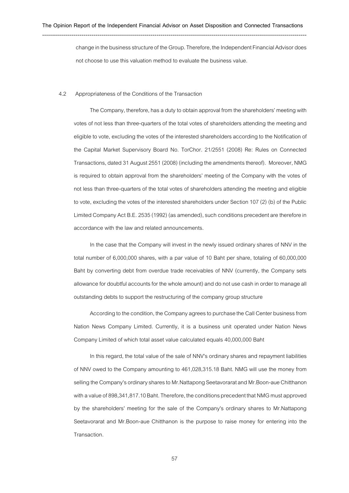change in the business structure of the Group. Therefore, the Independent Financial Advisor does not choose to use this valuation method to evaluate the business value.

#### 4.2 Appropriateness of the Conditions of the Transaction

The Company, therefore, has a duty to obtain approval from the shareholders' meeting with votes of not less than three-quarters of the total votes of shareholders attending the meeting and eligible to vote, excluding the votes of the interested shareholders according to the Notification of the Capital Market Supervisory Board No. TorChor. 21/2551 (2008) Re: Rules on Connected Transactions, dated 31 August 2551 (2008) (including the amendments thereof). Moreover, NMG is required to obtain approval from the shareholders' meeting of the Company with the votes of not less than three-quarters of the total votes of shareholders attending the meeting and eligible to vote, excluding the votes of the interested shareholders under Section 107 (2) (b) of the Public Limited Company Act B.E. 2535 (1992) (as amended), such conditions precedent are therefore in accordance with the law and related announcements.

In the case that the Company will invest in the newly issued ordinary shares of NNV in the total number of 6,000,000 shares, with a par value of 10 Baht per share, totaling of 60,000,000 Baht by converting debt from overdue trade receivables of NNV (currently, the Company sets allowance for doubtful accounts for the whole amount) and do not use cash in order to manage all outstanding debts to support the restructuring of the company group structure

According to the condition, the Companyagrees to purchase the Call Center business from Nation News Company Limited. Currently, it is a business unit operated under Nation News Company Limited of which total asset value calculated equals 40,000,000 Baht

In this regard, the total value of the sale of NNV's ordinary shares and repayment liabilities of NNV owed to the Company amounting to 461,028,315.18 Baht. NMG will use the money from selling the Company's ordinary shares to Mr.Nattapong Seetavorarat and Mr.Boon-aue Chitthanon with a value of 898,341,817.10 Baht. Therefore, the conditions precedent that NMG must approved by the shareholders' meeting for the sale of the Company's ordinary shares to Mr.Nattapong Seetavorarat and Mr.Boon-aue Chitthanon is the purpose to raise money for entering into the Transaction.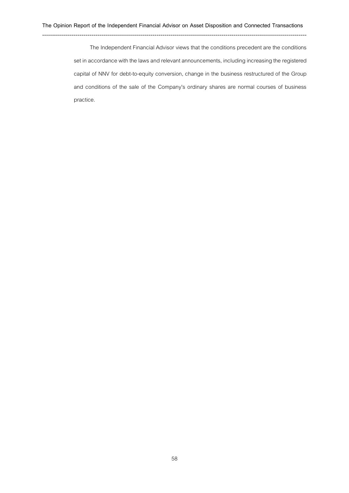The Independent Financial Advisor views that the conditions precedent are the conditions set in accordance with the laws and relevant announcements, including increasing the registered capital of NNV for debt-to-equity conversion, change in the business restructured of the Group and conditions of the sale of the Company's ordinary shares are normal courses of business practice.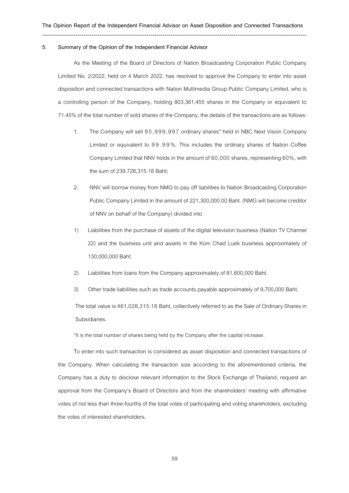#### **5. Summary of the Opinion** of **the Independent Financial Advisor**

As the Meeting of the Board of Directors of Nation Broadcasting Corporation Public Company Limited No. 2/2022, held on 4 March 2022, has resolved to approve the Company to enter into asset disposition and connected transactions with Nation Multimedia Group Public Company Limited, who is a controlling person of the Company, holding 803,361,455 shares in the Company or equivalent to 71.45% of the total number of sold shares of the Company, the details of the transactions are as follows:

- 1. The Company will sell 8 5 , 999 ,9 97 ordinary shares\* held in NBC Next Vision Company Limited or equivalent to 99.99%. This includes the ordinary shares of Nation Coffee Company Limited that NNV holds in the amount of 60,000 shares, representing 60%, with the sum of 239,728,315.18 Baht;
- 2. NNV will borrow money from NMG to pay off liabilities to Nation Broadcasting Corporation Public Company Limited in the amount of 221,300,000.00 Baht. (NMG will become creditor of NNV on behalf of the Company) divided into
- 1) Liabilities from the purchase of assets of the digital television business (Nation TV Channel 22) and the business unit and assets in the Kom Chad Luek business approximately of 130,000,000 Baht.
- 2) Liabilities from loans from the Company approximately of 81,600,000 Baht.
- 3) Other trade liabilities such as trade accounts payable approximately of 9,700,000 Baht.

The total value is 461,028,315.18 Baht, collectively referred to as the Sale of Ordinary Shares in Subsidiaries.

\*It is the total number of shares being held by the Company after the capital increase.

To enter into such transaction is considered as asset disposition and connected transactions of the Company. When calculating the transaction size according to the aforementioned criteria, the Company has a duty to disclose relevant information to the Stock Exchange of Thailand, request an approval from the Company's Board of Directors and from the shareholders' meeting with affirmative votes of not less than three-fourths of the total votes of participating and voting shareholders, excluding the votes of interested shareholders.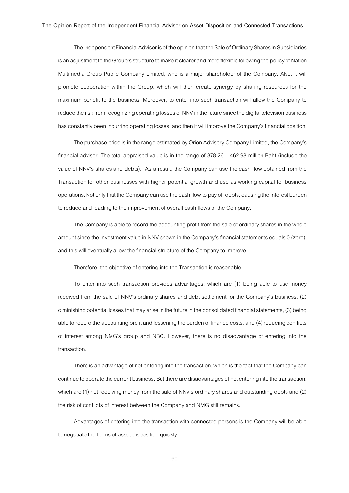The Independent Financial Advisor is of the opinion that the Sale of Ordinary Shares in Subsidiaries is an adjustment to the Group's structure to make it clearer and more flexible following the policy of Nation Multimedia Group Public Company Limited, who is a major shareholder of the Company. Also, it will promote cooperation within the Group, which will then create synergy by sharing resources for the maximum benefit to the business. Moreover, to enter into such transaction will allow the Company to reduce the risk from recognizing operating losses of NNV in the future since the digital television business has constantly been incurring operating losses, and then it will improve the Company's financial position.

The purchase price is in the range estimated by Orion Advisory Company Limited, the Company's financial advisor. The total appraised value is in the range of 378.26 – 462.98 million Baht (include the value of NNV's shares and debts). As a result, the Company can use the cash flow obtained from the Transaction for other businesses with higher potential growth and use as working capital for business operations. Not only that the Company can use the cash flow to pay off debts, causing the interest burden to reduce and leading to the improvement of overall cash flows of the Company.

The Company is able to record the accounting profit from the sale of ordinary shares in the whole amount since the investment value in NNV shown in the Company's financial statements equals 0 (zero), and this will eventually allow the financial structure of the Company to improve.

Therefore, the objective of entering into the Transaction is reasonable.

To enter into such transaction provides advantages, which are (1) being able to use money received from the sale of NNV's ordinary shares and debt settlement for the Company's business, (2) diminishing potential losses that may arise in the future in the consolidated financial statements, (3) being able to record the accounting profit and lessening the burden of finance costs, and (4) reducing conflicts of interest among NMG's group and NBC. However, there is no disadvantage of entering into the transaction.

There is an advantage of not entering into the transaction, which is the fact that the Company can continue to operate the current business. But there are disadvantages of not entering into the transaction, which are (1) not receiving money from the sale of NNV's ordinary shares and outstanding debts and (2) the risk of conflicts of interest between the Company and NMG still remains.

Advantages of entering into the transaction with connected persons is the Company will be able to negotiate the terms of asset disposition quickly.

60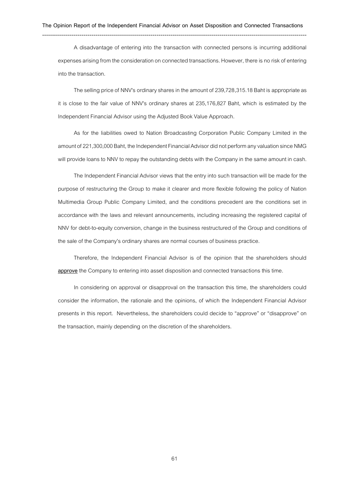A disadvantage of entering into the transaction with connected persons is incurring additional expenses arising from the consideration on connected transactions. However, there is no risk of entering into the transaction.

The selling price of NNV's ordinary shares in the amount of 239,728,315.18 Baht is appropriate as it is close to the fair value of NNV's ordinary shares at 235,176,827 Baht, which is estimated by the Independent Financial Advisor using the Adjusted Book Value Approach.

As for the liabilities owed to Nation Broadcasting Corporation Public Company Limited in the amount of 221,300,000 Baht, the Independent Financial Advisor did not perform any valuation since NMG will provide loans to NNV to repay the outstanding debts with the Company in the same amount in cash.

The Independent Financial Advisor views that the entry into such transaction will be made for the purpose of restructuring the Group to make it clearer and more flexible following the policy of Nation Multimedia Group Public Company Limited, and the conditions precedent are the conditions set in accordance with the laws and relevant announcements, including increasing the registered capital of NNV for debt-to-equity conversion, change in the business restructured of the Group and conditions of the sale of the Company's ordinary shares are normal courses of business practice.

Therefore, the Independent Financial Advisor is of the opinion that the shareholders should **approve** the Company to entering into asset disposition and connected transactions this time.

In considering on approval or disapproval on the transaction this time, the shareholders could consider the information, the rationale and the opinions, of which the Independent Financial Advisor presents in this report. Nevertheless, the shareholders could decide to "approve" or "disapprove" on the transaction, mainly depending on the discretion of the shareholders.

61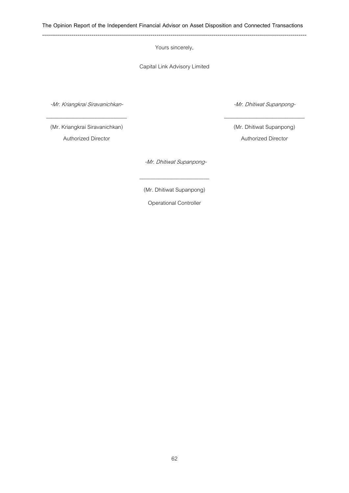Yours sincerely,

Capital Link Advisory Limited

-Mr. Kriangkrai Siravanichkan-  $\_$ 

-Mr. Dhitiwat Supanpong-  $\_$ 

(Mr. Kriangkrai Siravanichkan) Authorized Director

(Mr. Dhitiwat Supanpong) Authorized Director

-Mr. Dhitiwat Supanpong-

(Mr. Dhitiwat Supanpong)

 $\overline{\phantom{a}}$  , where  $\overline{\phantom{a}}$ 

Operational Controller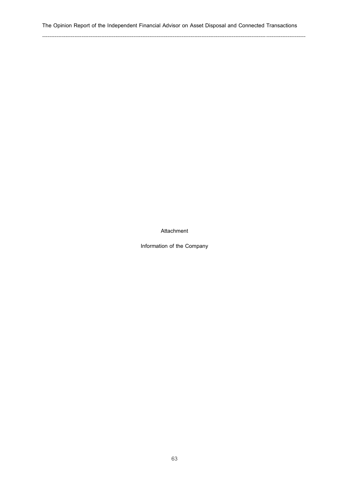# **The Opinion Report of the Independent Financial Advisor on Asset Disposal and Connected Transactions**

---------------------------------------------------------------------------------------------------------------------------------------------------

**Attachment**

**Information of the Company**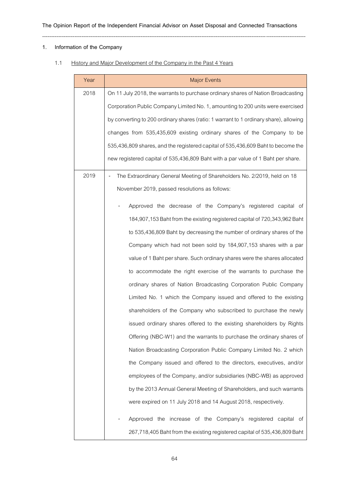# ---------------------------------------------------------------------------------------------------------------------------------------------------

## **1. Information of the Company**

# 1.1 History and Major Development of the Company in the Past 4 Years

| Year | <b>Major Events</b>                                                                   |
|------|---------------------------------------------------------------------------------------|
| 2018 | On 11 July 2018, the warrants to purchase ordinary shares of Nation Broadcasting      |
|      | Corporation Public Company Limited No. 1, amounting to 200 units were exercised       |
|      | by converting to 200 ordinary shares (ratio: 1 warrant to 1 ordinary share), allowing |
|      | changes from 535,435,609 existing ordinary shares of the Company to be                |
|      | 535,436,809 shares, and the registered capital of 535,436,609 Baht to become the      |
|      | new registered capital of 535,436,809 Baht with a par value of 1 Baht per share.      |
| 2019 | The Extraordinary General Meeting of Shareholders No. 2/2019, held on 18              |
|      | November 2019, passed resolutions as follows:                                         |
|      | Approved the decrease of the Company's registered capital of                          |
|      | 184,907,153 Baht from the existing registered capital of 720,343,962 Baht             |
|      | to 535,436,809 Baht by decreasing the number of ordinary shares of the                |
|      | Company which had not been sold by 184,907,153 shares with a par                      |
|      | value of 1 Baht per share. Such ordinary shares were the shares allocated             |
|      | to accommodate the right exercise of the warrants to purchase the                     |
|      | ordinary shares of Nation Broadcasting Corporation Public Company                     |
|      | Limited No. 1 which the Company issued and offered to the existing                    |
|      | shareholders of the Company who subscribed to purchase the newly                      |
|      | issued ordinary shares offered to the existing shareholders by Rights                 |
|      | Offering (NBC-W1) and the warrants to purchase the ordinary shares of                 |
|      | Nation Broadcasting Corporation Public Company Limited No. 2 which                    |
|      | the Company issued and offered to the directors, executives, and/or                   |
|      | employees of the Company, and/or subsidiaries (NBC-WB) as approved                    |
|      | by the 2013 Annual General Meeting of Shareholders, and such warrants                 |
|      | were expired on 11 July 2018 and 14 August 2018, respectively.                        |
|      | Approved the increase of the Company's registered capital of                          |
|      | 267,718,405 Baht from the existing registered capital of 535,436,809 Baht             |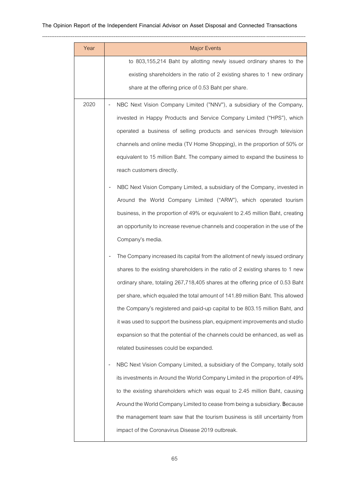# **The Opinion Report of the Independent Financial Advisor on Asset Disposal and Connected Transactions**

| Year | <b>Major Events</b>                                                             |
|------|---------------------------------------------------------------------------------|
|      | to 803,155,214 Baht by allotting newly issued ordinary shares to the            |
|      | existing shareholders in the ratio of 2 existing shares to 1 new ordinary       |
|      | share at the offering price of 0.53 Baht per share.                             |
| 2020 | NBC Next Vision Company Limited ("NNV"), a subsidiary of the Company,           |
|      | invested in Happy Products and Service Company Limited ("HPS"), which           |
|      | operated a business of selling products and services through television         |
|      | channels and online media (TV Home Shopping), in the proportion of 50% or       |
|      | equivalent to 15 million Baht. The company aimed to expand the business to      |
|      | reach customers directly.                                                       |
|      | NBC Next Vision Company Limited, a subsidiary of the Company, invested in       |
|      | Around the World Company Limited ("ARW"), which operated tourism                |
|      | business, in the proportion of 49% or equivalent to 2.45 million Baht, creating |
|      | an opportunity to increase revenue channels and cooperation in the use of the   |
|      | Company's media.                                                                |
|      | The Company increased its capital from the allotment of newly issued ordinary   |
|      | shares to the existing shareholders in the ratio of 2 existing shares to 1 new  |
|      | ordinary share, totaling 267,718,405 shares at the offering price of 0.53 Baht  |
|      | per share, which equaled the total amount of 141.89 million Baht. This allowed  |
|      | the Company's registered and paid-up capital to be 803.15 million Baht, and     |
|      | it was used to support the business plan, equipment improvements and studio     |
|      | expansion so that the potential of the channels could be enhanced, as well as   |
|      | related businesses could be expanded.                                           |
|      | NBC Next Vision Company Limited, a subsidiary of the Company, totally sold      |
|      | its investments in Around the World Company Limited in the proportion of 49%    |
|      | to the existing shareholders which was equal to 2.45 million Baht, causing      |
|      | Around the World Company Limited to cease from being a subsidiary. Because      |
|      | the management team saw that the tourism business is still uncertainty from     |
|      | impact of the Coronavirus Disease 2019 outbreak.                                |
|      |                                                                                 |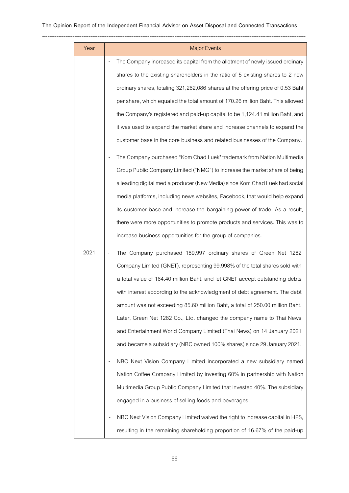---------------------------------------------------------------------------------------------------------------------------------------------------

| Year | <b>Major Events</b>                                                                         |
|------|---------------------------------------------------------------------------------------------|
|      | The Company increased its capital from the allotment of newly issued ordinary               |
|      | shares to the existing shareholders in the ratio of 5 existing shares to 2 new              |
|      | ordinary shares, totaling 321,262,086 shares at the offering price of 0.53 Baht             |
|      | per share, which equaled the total amount of 170.26 million Baht. This allowed              |
|      | the Company's registered and paid-up capital to be 1,124.41 million Baht, and               |
|      | it was used to expand the market share and increase channels to expand the                  |
|      | customer base in the core business and related businesses of the Company.                   |
|      | The Company purchased "Kom Chad Luek" trademark from Nation Multimedia                      |
|      | Group Public Company Limited ("NMG") to increase the market share of being                  |
|      | a leading digital media producer (New Media) since Kom Chad Luek had social                 |
|      | media platforms, including news websites, Facebook, that would help expand                  |
|      | its customer base and increase the bargaining power of trade. As a result,                  |
|      | there were more opportunities to promote products and services. This was to                 |
|      | increase business opportunities for the group of companies.                                 |
| 2021 | The Company purchased 189,997 ordinary shares of Green Net 1282<br>$\overline{\phantom{a}}$ |
|      | Company Limited (GNET), representing 99.998% of the total shares sold with                  |
|      | a total value of 164.40 million Baht, and let GNET accept outstanding debts                 |
|      | with interest according to the acknowledgment of debt agreement. The debt                   |
|      | amount was not exceeding 85.60 million Baht, a total of 250.00 million Baht.                |
|      | Later, Green Net 1282 Co., Ltd. changed the company name to Thai News                       |
|      | and Entertainment World Company Limited (Thai News) on 14 January 2021                      |
|      | and became a subsidiary (NBC owned 100% shares) since 29 January 2021.                      |
|      | NBC Next Vision Company Limited incorporated a new subsidiary named                         |
|      | Nation Coffee Company Limited by investing 60% in partnership with Nation                   |
|      | Multimedia Group Public Company Limited that invested 40%. The subsidiary                   |
|      | engaged in a business of selling foods and beverages.                                       |
|      | NBC Next Vision Company Limited waived the right to increase capital in HPS,                |
|      | resulting in the remaining shareholding proportion of 16.67% of the paid-up                 |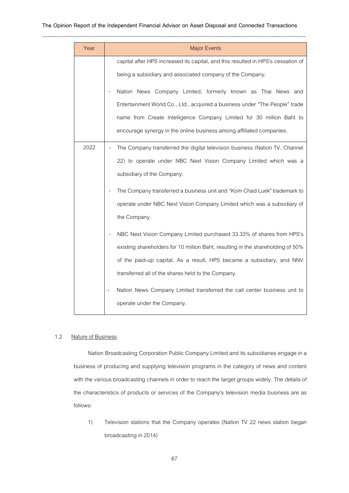#### **The Opinion Report of the Independent Financial Advisor on Asset Disposal and Connected Transactions**

| Year | <b>Major Events</b>                                                                                                                                                                                                                                                                                                                                                                                                                          |
|------|----------------------------------------------------------------------------------------------------------------------------------------------------------------------------------------------------------------------------------------------------------------------------------------------------------------------------------------------------------------------------------------------------------------------------------------------|
|      | capital after HPS increased its capital, and this resulted in HPS's cessation of<br>being a subsidiary and associated company of the Company.<br>Nation News Company Limited, formerly known as Thai News and<br>Entertainment World Co., Ltd., acquired a business under "The People" trade<br>name from Create Intelligence Company Limited for 30 million Baht to<br>encourage synergy in the online business among affiliated companies. |
| 2022 | The Company transferred the digital television business (Nation TV, Channel<br>22) to operate under NBC Next Vision Company Limited which was a<br>subsidiary of the Company.                                                                                                                                                                                                                                                                |
|      | The Company transferred a business unit and "Kom Chad Luek" trademark to<br>operate under NBC Next Vision Company Limited which was a subsidiary of<br>the Company.                                                                                                                                                                                                                                                                          |
|      | NBC Next Vision Company Limited purchased 33.33% of shares from HPS's<br>existing shareholders for 10 million Baht, resulting in the shareholding of 50%<br>of the paid-up capital. As a result, HPS became a subsidiary, and NNV<br>transferred all of the shares held to the Company.                                                                                                                                                      |
|      | Nation News Company Limited transferred the call center business unit to<br>$\overline{\phantom{m}}$<br>operate under the Company.                                                                                                                                                                                                                                                                                                           |

## 1.2 Nature of Business

Nation Broadcasting Corporation Public Company Limited and its subsidiaries engage in a business of producing and supplying television programs in the category of news and content with the various broadcasting channels in order to reach the target groups widely. The details of the characteristics of products or services of the Company's television media business are as follows:

1) Television stations that the Company operates (Nation TV 22 news station began broadcasting in 2014)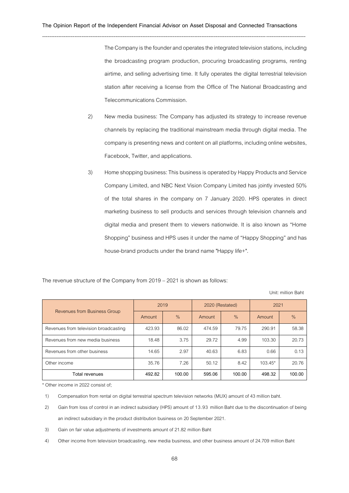---------------------------------------------------------------------------------------------------------------------------------------------------

The Company is the founder and operates the integrated television stations, including the broadcasting program production, procuring broadcasting programs, renting airtime, and selling advertising time. It fully operates the digital terrestrial television station after receiving a license from the Office of The National Broadcasting and Telecommunications Commission.

- 2) New media business: The Company has adjusted its strategy to increase revenue channels by replacing the traditional mainstream media through digital media. The company is presenting news and content on all platforms, including online websites, Facebook, Twitter, and applications.
- 3) Home shopping business:This business is operated by Happy Products and Service Company Limited, and NBC Next Vision Company Limited has jointly invested 50% of the total shares in the company on 7 January 2020. HPS operates in direct marketing business to sell products and services through television channels and digital media and present them to viewers nationwide. It is also known as "Home Shopping" business and HPS uses it under the name of "Happy Shopping" and has house-brand products under the brand name "Happy life+".

The revenue structure of the Company from 2019 –2021 is shown as follows:

Unit: million Baht

|                                       | 2019   |        | 2020 (Restated) |               | 2021          |               |
|---------------------------------------|--------|--------|-----------------|---------------|---------------|---------------|
| Revenues from Business Group          | Amount | $\%$   | Amount          | $\frac{0}{6}$ | <b>Amount</b> | $\frac{0}{6}$ |
| Revenues from television broadcasting | 423.93 | 86.02  | 474.59          | 79.75         | 290.91        | 58.38         |
| Revenues from new media business      | 18.48  | 3.75   | 29.72           | 4.99          | 103.30        | 20.73         |
| Revenues from other business          | 14.65  | 2.97   | 40.63           | 6.83          | 0.66          | 0.13          |
| Other income                          | 35.76  | 7.26   | 50.12           | 8.42          | $103.45*$     | 20.76         |
| Total revenues                        | 492.82 | 100.00 | 595.06          | 100.00        | 498.32        | 100.00        |

\* Other income in 2022 consist of;

1) Compensation from rental on digital terrestrial spectrum television networks (MUX) amount of 43 million baht.

2) Gain from loss of control in an indirect subsidiary (HPS) amount of 13.93 million Baht due to the discontinuation of being an indirect subsidiary in the product distribution business on 20 September 2021.

- 3) Gain on fair value adjustments of investments amount of 21.82 million Baht
- 4) Other income from television broadcasting, new media business, and other business amount of 24.709 million Baht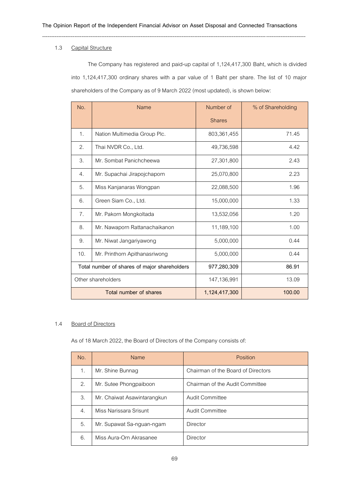---------------------------------------------------------------------------------------------------------------------------------------------------

# 1.3 Capital Structure

The Company has registered and paid-up capital of 1,124,417,300 Baht, which is divided into 1,124,417,300 ordinary shares with a par value of 1 Baht per share. The list of 10 major shareholders of the Company as of 9 March 2022(most updated), is shown below:

| No.                                          | <b>Name</b>                   | Number of     | % of Shareholding |
|----------------------------------------------|-------------------------------|---------------|-------------------|
|                                              |                               | <b>Shares</b> |                   |
| 1.                                           | Nation Multimedia Group Plc.  | 803,361,455   | 71.45             |
| 2.                                           | Thai NVDR Co., Ltd.           | 49,736,598    | 4.42              |
| 3.                                           | Mr. Sombat Panichcheewa       | 27,301,800    | 2.43              |
| 4.                                           | Mr. Supachai Jirapojchaporn   | 25,070,800    | 2.23              |
| 5.                                           | Miss Kanjanaras Wongpan       | 22,088,500    | 1.96              |
| 6.                                           | Green Siam Co., Ltd.          | 15,000,000    | 1.33              |
| 7.                                           | Mr. Pakorn Mongkoltada        | 13,532,056    | 1.20              |
| 8.                                           | Mr. Nawaporn Rattanachaikanon | 11,189,100    | 1.00              |
| 9.                                           | Mr. Niwat Jangariyawong       | 5,000,000     | 0.44              |
| 10.                                          | Mr. Printhorn Apithanasriwong | 5,000,000     | 0.44              |
| Total number of shares of major shareholders |                               | 977,280,309   | 86.91             |
| Other shareholders                           |                               | 147,136,991   | 13.09             |
|                                              | Total number of shares        | 1,124,417,300 | 100.00            |

## 1.4 Board of Directors

As of 18 March 2022, the Board of Directors of the Company consists of:

| No. | Name                        | Position                           |
|-----|-----------------------------|------------------------------------|
| 1.  | Mr. Shine Bunnag            | Chairman of the Board of Directors |
| 2.  | Mr. Sutee Phongpaiboon      | Chairman of the Audit Committee    |
| 3.  | Mr. Chaiwat Asawintarangkun | <b>Audit Committee</b>             |
| 4.  | Miss Narissara Srisunt      | Audit Committee                    |
| 5.  | Mr. Supawat Sa-nguan-ngam   | Director                           |
| 6.  | Miss Aura-Orn Akrasanee     | Director                           |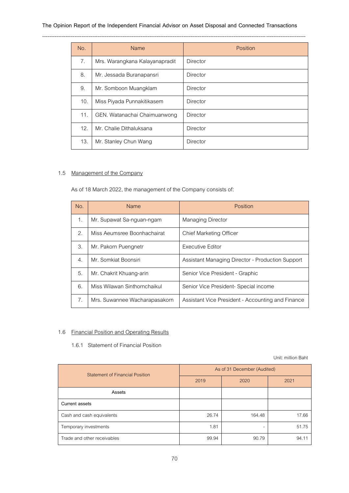# **The Opinion Report of the Independent Financial Advisor on Asset Disposal and Connected Transactions**

| No. | Name                           | Position        |
|-----|--------------------------------|-----------------|
| 7.  | Mrs. Warangkana Kalayanapradit | <b>Director</b> |
| 8.  | Mr. Jessada Buranapansri       | <b>Director</b> |
| 9.  | Mr. Somboon Muangklam          | <b>Director</b> |
| 10. | Miss Piyada Punnakitikasem     | <b>Director</b> |
| 11. | GEN. Watanachai Chaimuanwong   | <b>Director</b> |
| 12. | Mr. Chalie Dithaluksana        | <b>Director</b> |
| 13. | Mr. Stanley Chun Wang          | <b>Director</b> |

# 1.5 Management of the Company

As of 18 March 2022, the management of the Company consists of:

| No.            | <b>Name</b>                   | Position                                          |  |  |
|----------------|-------------------------------|---------------------------------------------------|--|--|
| $\mathbf{1}$ . | Mr. Supawat Sa-nguan-ngam     | Managing Director                                 |  |  |
| 2.             | Miss Aeumsree Boonhachairat   | Chief Marketing Officer                           |  |  |
| 3.             | Mr. Pakorn Puengnetr          | <b>Executive Editor</b>                           |  |  |
| 4.             | Mr. Somkiat Boonsiri          | Assistant Managing Director - Production Support  |  |  |
| 5.             | Mr. Chakrit Khuang-arin       | Senior Vice President - Graphic                   |  |  |
| 6.             | Miss Wilawan Sinthornchaikul  | Senior Vice President- Special income             |  |  |
| 7.             | Mrs. Suwannee Wacharapasakorn | Assistant Vice President - Accounting and Finance |  |  |

# 1.6 Financial Position and Operating Results

# 1.6.1 Statement of Financial Position

Unit: million Baht

| <b>Statement of Financial Position</b> | As of 31 December (Audited) |        |       |  |
|----------------------------------------|-----------------------------|--------|-------|--|
|                                        | 2019                        | 2020   | 2021  |  |
| Assets                                 |                             |        |       |  |
| Current assets                         |                             |        |       |  |
| Cash and cash equivalents              | 26.74                       | 164.48 | 17.66 |  |
| Temporary investments                  | 1.81                        |        | 51.75 |  |
| Trade and other receivables            | 99.94                       | 90.79  | 94.1' |  |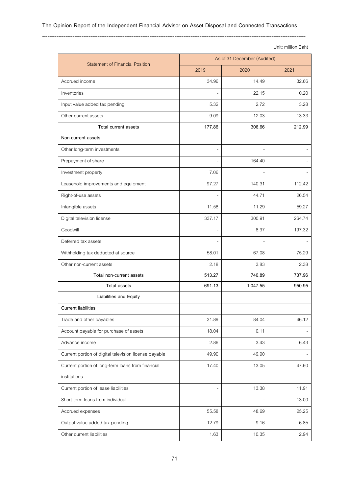## ---------------------------------------------------------------------------------------------------------------------------------------------------

Unit: million Baht

| <b>Statement of Financial Position</b>                            | As of 31 December (Audited) |          |        |
|-------------------------------------------------------------------|-----------------------------|----------|--------|
|                                                                   | 2019                        | 2020     | 2021   |
| Accrued income                                                    | 34.96                       | 14.49    | 32.66  |
| Inventories                                                       |                             | 22.15    | 0.20   |
| Input value added tax pending                                     | 5.32                        | 2.72     | 3.28   |
| Other current assets                                              | 9.09                        | 12.03    | 13.33  |
| Total current assets                                              | 177.86                      | 306.66   | 212.99 |
| Non-current assets                                                |                             |          |        |
| Other long-term investments                                       |                             |          |        |
| Prepayment of share                                               |                             | 164.40   |        |
| Investment property                                               | 7.06                        |          |        |
| Leasehold improvements and equipment                              | 97.27                       | 140.31   | 112.42 |
| Right-of-use assets                                               |                             | 44.71    | 26.54  |
| Intangible assets                                                 | 11.58                       | 11.29    | 59.27  |
| Digital television license                                        | 337.17                      | 300.91   | 264.74 |
| Goodwill                                                          |                             | 8.37     | 197.32 |
| Deferred tax assets                                               |                             |          |        |
| Withholding tax deducted at source                                | 58.01                       | 67.08    | 75.29  |
| Other non-current assets                                          | 2.18                        | 3.83     | 2.38   |
| Total non-current assets                                          | 513.27                      | 740.89   | 737.96 |
| <b>Total assets</b>                                               | 691.13                      | 1,047.55 | 950.95 |
| Liabilities and Equity                                            |                             |          |        |
| <b>Current liabilities</b>                                        |                             |          |        |
| Trade and other payables                                          | 31.89                       | 84.04    | 46.12  |
| Account payable for purchase of assets                            | 18.04                       | 0.11     |        |
| Advance income                                                    | 2.86                        | 3.43     | 6.43   |
| Current portion of digital television license payable             | 49.90                       | 49.90    |        |
| Current portion of long-term loans from financial<br>institutions | 17.40                       | 13.05    | 47.60  |
| Current portion of lease liabilities                              |                             | 13.38    | 11.91  |
| Short-term loans from individual                                  |                             |          | 13.00  |
| Accrued expenses                                                  | 55.58                       | 48.69    | 25.25  |
|                                                                   |                             |          |        |
| Output value added tax pending                                    | 12.79                       | 9.16     | 6.85   |
| Other current liabilities                                         | 1.63                        | 10.35    | 2.94   |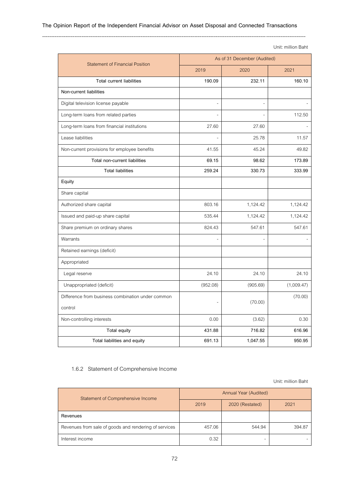## ---------------------------------------------------------------------------------------------------------------------------------------------------

Unit: million Baht

| <b>Statement of Financial Position</b>            | As of 31 December (Audited) |          |            |
|---------------------------------------------------|-----------------------------|----------|------------|
|                                                   | 2019                        | 2020     | 2021       |
| <b>Total current liabilities</b>                  | 190.09                      | 232.11   | 160.10     |
| Non-current liabilities                           |                             |          |            |
| Digital television license payable                | $\overline{a}$              |          |            |
| Long-term loans from related parties              |                             |          | 112.50     |
| Long-term loans from financial institutions       | 27.60                       | 27.60    |            |
| Lease liabilities                                 |                             | 25.78    | 11.57      |
| Non-current provisions for employee benefits      | 41.55                       | 45.24    | 49.82      |
| Total non-current liabilities                     | 69.15                       | 98.62    | 173.89     |
| <b>Total liabilities</b>                          | 259.24                      | 330.73   | 333.99     |
| Equity                                            |                             |          |            |
| Share capital                                     |                             |          |            |
| Authorized share capital                          | 803.16                      | 1,124.42 | 1,124.42   |
| Issued and paid-up share capital                  | 535.44                      | 1,124.42 | 1,124.42   |
| Share premium on ordinary shares                  | 824.43                      | 547.61   | 547.61     |
| Warrants                                          |                             |          |            |
| Retained earnings (deficit)                       |                             |          |            |
| Appropriated                                      |                             |          |            |
| Legal reserve                                     | 24.10                       | 24.10    | 24.10      |
| Unappropriated (deficit)                          | (952.08)                    | (905.69) | (1,009.47) |
| Difference from business combination under common |                             | (70.00)  | (70.00)    |
| control                                           |                             |          |            |
| Non-controlling interests                         | 0.00                        | (3.62)   | 0.30       |
| Total equity                                      | 431.88                      | 716.82   | 616.96     |
| Total liabilities and equity                      | 691.13                      | 1,047.55 | 950.95     |

## 1.6.2 Statement of Comprehensive Income

Unit: million Baht

| Statement of Comprehensive Income                     | Annual Year (Audited) |                 |        |
|-------------------------------------------------------|-----------------------|-----------------|--------|
|                                                       | 2019                  | 2020 (Restated) | 2021   |
| Revenues                                              |                       |                 |        |
| Revenues from sale of goods and rendering of services | 457.06                | 544.94          | 394.87 |
| Interest income                                       | 0.32                  |                 |        |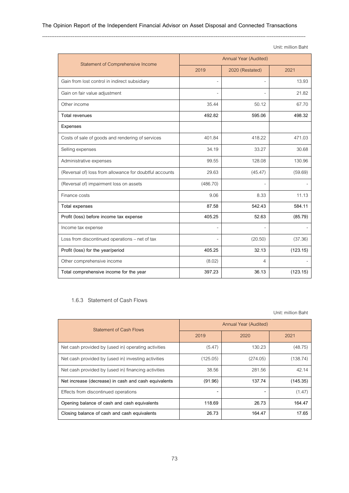#### ---------------------------------------------------------------------------------------------------------------------------------------------------

|                                                         |                       |                 | Unit: million Bant |
|---------------------------------------------------------|-----------------------|-----------------|--------------------|
| Statement of Comprehensive Income                       | Annual Year (Audited) |                 |                    |
|                                                         | 2019                  | 2020 (Restated) | 2021               |
| Gain from lost control in indirect subsidiary           |                       |                 | 13.93              |
| Gain on fair value adjustment                           |                       |                 | 21.82              |
| Other income                                            | 35.44                 | 50.12           | 67.70              |
| <b>Total revenues</b>                                   | 492.82                | 595.06          | 498.32             |
| Expenses                                                |                       |                 |                    |
| Costs of sale of goods and rendering of services        | 401.84                | 418.22          | 471.03             |
| Selling expenses                                        | 34.19                 | 33.27           | 30.68              |
| Administrative expenses                                 | 99.55                 | 128.08          | 130.96             |
| (Reversal of) loss from allowance for doubtful accounts | 29.63                 | (45.47)         | (59.69)            |
| (Reversal of) impairment loss on assets                 | (486.70)              |                 |                    |
| Finance costs                                           | 9.06                  | 8.33            | 11.13              |
| <b>Total expenses</b>                                   | 87.58                 | 542.43          | 584.11             |
| Profit (loss) before income tax expense                 | 405.25                | 52.63           | (85.79)            |
| Income tax expense                                      |                       |                 |                    |
| Loss from discontinued operations - net of tax          |                       | (20.50)         | (37.36)            |
| Profit (loss) for the year/period                       | 405.25                | 32.13           | (123.15)           |
| Other comprehensive income                              | (8.02)                | 4               |                    |
| Total comprehensive income for the year                 | 397.23                | 36.13           | (123.15)           |

## 1.6.3 Statement of Cash Flows

Unit: million Baht

| <b>Statement of Cash Flows</b>                       | Annual Year (Audited) |          |          |
|------------------------------------------------------|-----------------------|----------|----------|
|                                                      | 2019                  | 2020     | 2021     |
| Net cash provided by (used in) operating activities  | (5.47)                | 130.23   | (48.75)  |
| Net cash provided by (used in) investing activities  | (125.05)              | (274.05) | (138.74) |
| Net cash provided by (used in) financing activities  | 38.56                 | 281.56   | 42.14    |
| Net increase (decrease) in cash and cash equivalents | (91.96)               | 137.74   | (145.35) |
| Effects from discontinued operations                 |                       |          | (1.47)   |
| Opening balance of cash and cash equivalents         | 118.69                | 26.73    | 164.47   |
| Closing balance of cash and cash equivalents         | 26.73                 | 164.47   | 17.65    |

Unit: million Baht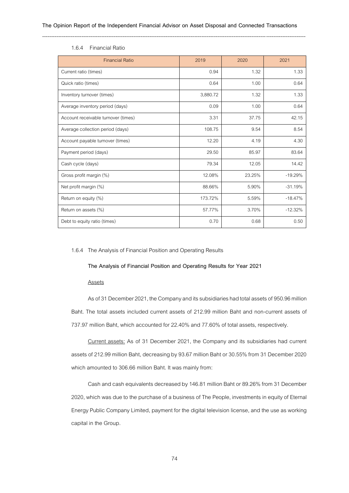| <b>Financial Ratio</b>              | 2019     | 2020   | 2021      |
|-------------------------------------|----------|--------|-----------|
| Current ratio (times)               | 0.94     | 1.32   | 1.33      |
| Quick ratio (times)                 | 0.64     | 1.00   | 0.64      |
| Inventory turnover (times)          | 3,880.72 | 1.32   | 1.33      |
| Average inventory period (days)     | 0.09     | 1.00   | 0.64      |
| Account receivable turnover (times) | 3.31     | 37.75  | 42.15     |
| Average collection period (days)    | 108.75   | 9.54   | 8.54      |
| Account payable turnover (times)    | 12.20    | 4.19   | 4.30      |
| Payment period (days)               | 29.50    | 85.97  | 83.64     |
| Cash cycle (days)                   | 79.34    | 12.05  | 14.42     |
| Gross profit margin (%)             | 12.08%   | 23.25% | $-19.29%$ |
| Net profit margin (%)               | 88.66%   | 5.90%  | $-31.19%$ |
| Return on equity (%)                | 173.72%  | 5.59%  | $-18.47%$ |
| Return on assets (%)                | 57.77%   | 3.70%  | $-12.32%$ |
| Debt to equity ratio (times)        | 0.70     | 0.68   | 0.50      |

## 1.6.4 Financial Ratio

### 1.6.4 The Analysis of Financial Position and Operating Results

#### **The Analysis of Financial Position and Operating Results for Year 2021**

#### Assets

As of 31 December 2021, the Company and its subsidiaries had total assets of 950.96 million Baht. The total assets included current assets of 212.99 million Baht and non-current assets of 737.97 million Baht, which accounted for 22.40% and 77.60% of total assets, respectively.

Current assets: As of 31 December 2021, the Company and its subsidiaries had current assets of 212.99 million Baht, decreasing by 93.67 million Baht or 30.55% from 31 December 2020 which amounted to 306.66 million Baht. It was mainly from:

Cash and cash equivalents decreased by146.81 million Baht or 89.26% from 31 December 2020, which was due to the purchase of a businessof The People, investments in equityof Eternal Energy Public Company Limited, payment for the digital television license, and the use as working capital in the Group.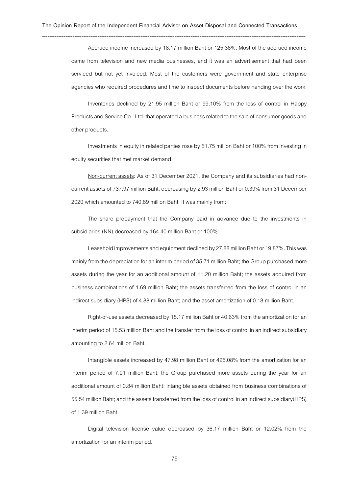Accrued income increased by 18.17 million Baht or 125.36%. Most of the accrued income came from television and new media businesses, and it was an advertisement that had been serviced but not yet invoiced. Most of the customers were government and state enterprise agencies who required procedures and time to inspect documents before handing over the work.

Inventories declined by 21.95 million Baht or 99.10% from the loss of control in Happy Products and Service Co., Ltd. that operated a business related to the sale of consumer goods and other products.

Investments in equity in related parties rose by 51.75 million Baht or 100% from investing in equity securities that met market demand.

Non-current assets: As of 31 December 2021, the Company and its subsidiaries had noncurrent assets of 737.97 million Baht, decreasing by 2.93 million Baht or 0.39% from 31 December 2020 which amounted to 740.89 million Baht. It was mainly from:

The share prepayment that the Company paid in advance due to the investments in subsidiaries (NN) decreased by 164.40 million Baht or 100%.

Leasehold improvements and equipment declined by27.88 million Baht or 19.87%. This was mainly from the depreciation for an interim period of 35.71 million Baht; the Group purchased more assets during the year for an additional amount of 11.20 million Baht; the assets acquired from business combinations of 1.69 million Baht; the assets transferred from the loss of control in an indirect subsidiary (HPS) of 4.88 million Baht; and the asset amortization of 0.18 million Baht.

Right-of-use assets decreased by 18.17 million Baht or 40.63% from the amortization for an interim period of 15.53 million Baht and the transfer from the loss of control in an indirect subsidiary amounting to 2.64 million Baht.

Intangible assets increased by 47.98 million Baht or 425.08% from the amortization for an interim period of 7.01 million Baht; the Group purchased more assets during the year for an additional amount of 0.84 million Baht; intangible assets obtained from business combinations of 55.54 million Baht; and the assets transferred from the loss of control in an indirect subsidiary(HPS) of 1.39 million Baht.

Digital television license value decreased by 36.17 million Baht or 12.02% from the amortization for an interim period.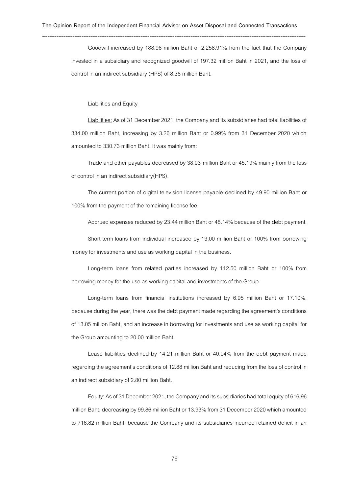Goodwill increased by 188.96 million Baht or 2,258.91% from the fact that the Company invested in a subsidiary and recognized goodwill of 197.32 million Baht in 2021, and the loss of control in an indirect subsidiary (HPS) of 8.36 million Baht.

#### Liabilities and Equity

Liabilities: As of 31 December 2021, the Company and its subsidiaries had total liabilities of 334.00 million Baht, increasing by 3.26 million Baht or 0.99% from 31 December 2020 which amounted to 330.73 million Baht. It was mainly from:

Trade and other payables decreased by 38.03 million Baht or 45.19% mainly from the loss of control in an indirect subsidiary(HPS).

The current portion of digital television license payable declined by 49.90 million Baht or 100% from the payment of the remaining license fee.

Accrued expenses reduced by 23.44 million Baht or 48.14% because of the debt payment.

Short-term loans from individual increased by 13.00 million Baht or 100% from borrowing money for investments and use as working capital in the business.

Long-term loans from related parties increased by 112.50 million Baht or 100% from borrowing money for the use as working capital and investments of the Group.

Long-term loans from financial institutions increased by 6.95 million Baht or 17.10%, because during the year, there was the debt payment made regarding the agreement's conditions of 13.05 million Baht, and an increase in borrowing for investments and use as working capital for the Group amounting to 20.00 million Baht.

Lease liabilities declined by 14.21 million Baht or 40.04% from the debt payment made regarding the agreement's conditions of 12.88 million Baht and reducing from the loss of control in an indirect subsidiary of 2.80 million Baht.

Equity: As of 31 December 2021, the Company and its subsidiaries had total equity of 616.96 million Baht, decreasing by 99.86 million Baht or 13.93% from 31 December 2020 which amounted to 716.82 million Baht, because the Company and its subsidiaries incurred retained deficit in an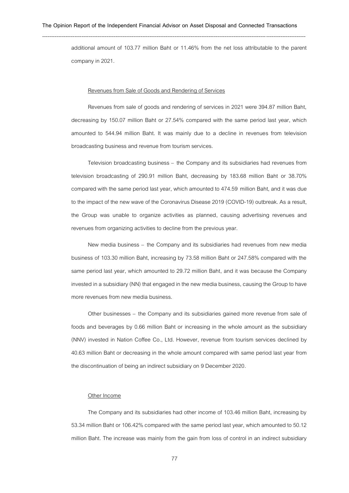---------------------------------------------------------------------------------------------------------------------------------------------------

additional amount of 103.77 million Baht or 11.46% from the net loss attributable to the parent company in 2021.

#### Revenues from Sale of Goods and Rendering of Services

Revenues from sale of goods and rendering of services in 2021 were 394.87 million Baht, decreasing by 150.07 million Baht or 27.54% compared with the same period last year, which amounted to 544.94 million Baht. It was mainly due to a decline in revenues from television broadcasting business and revenue from tourism services.

Television broadcasting business – the Company and its subsidiaries had revenues from television broadcasting of 290.91 million Baht, decreasing by 183.68 million Baht or 38.70% compared with the same period last year, which amounted to 474.59 million Baht, and it was due to the impact of the new wave of the Coronavirus Disease 2019 (COVID-19) outbreak. As a result, the Group was unable to organize activities as planned, causing advertising revenues and revenues from organizing activities to decline from the previous year.

New media business – the Company and its subsidiaries had revenues from new media business of 103.30 million Baht, increasing by 73.58 million Baht or 247.58% compared with the same period last year, which amounted to 29.72 million Baht, and it was because the Company invested in a subsidiary(NN) that engaged in the new media business, causing the Group to have more revenues from new media business.

Other businesses – the Company and its subsidiaries gained more revenue from sale of foods and beverages by 0.66 million Baht or increasing in the whole amount as the subsidiary (NNV) invested in Nation Coffee Co., Ltd. However, revenue from tourism services declined by 40.63 million Baht or decreasing in the whole amount compared with same period last year from the discontinuation of being an indirect subsidiary on 9 December 2020.

#### Other Income

The Company and its subsidiaries had other income of 103.46 million Baht, increasing by 53.34 million Baht or 106.42% compared with the same period last year, which amounted to 50.12 million Baht. The increase was mainly from the gain from loss of control in an indirect subsidiary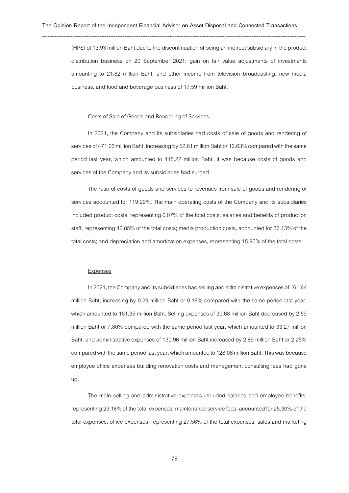(HPS) of 13.93 million Baht due to the discontinuation of being an indirect subsidiary in the product distribution business on 20 September 2021; gain on fair value adjustments of investments amounting to 21.82 million Baht; and other income from television broadcasting, new media business, and food and beverage business of 17.59 million Baht.

#### Costs of Sale of Goods and Rendering of Services

In 2021, the Company and its subsidiaries had costs of sale of goods and rendering of services of 471.03 million Baht, increasing by 52.81 million Baht or 12.63% compared with the same period last year, which amounted to 418.22 million Baht. It was because costs of goods and services of the Company and its subsidiaries had surged.

The ratio of costs of goods and services to revenues from sale of goods and rendering of services accounted for 119.29%. The main operating costs of the Company and its subsidiaries included product costs, representing 0.07% of the total costs; salaries and benefits of production staff, representing 46.85% of the total costs; media production costs, accounted for 37.13% of the total costs; and depreciation and amortization expenses, representing 15.95% of the total costs.

#### Expenses

In 2021, the Company and its subsidiaries had selling and administrative expenses of 161.64 million Baht, increasing by 0.29 million Baht or 0.18% compared with the same period last year, which amounted to 161.35 million Baht. Selling expenses of 30.68 million Baht decreased by 2.59 million Baht or 7.80% compared with the same period last year, which amounted to 33.27 million Baht, and administrative expenses of 130.96 million Baht increased by 2.89 million Baht or 2.25% compared with the same period last year, which amounted to 128.08 million Baht. This was because employee office expenses building renovation costs and management consulting fees had gone up.

The main selling and administrative expenses included salaries and employee benefits, representing 29.18% of the total expenses; maintenance service fees, accounted for 25.30% of the total expenses; office expenses, representing 27.56% of the total expenses; sales and marketing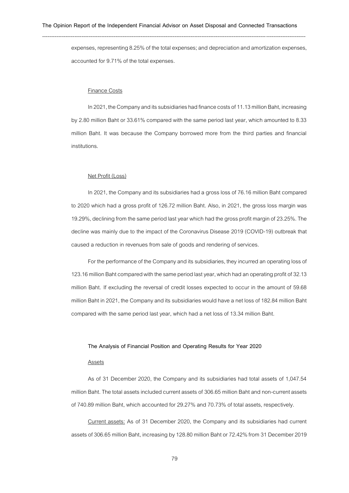expenses, representing 8.25% of the total expenses; and depreciation and amortizationexpenses, accounted for 9.71% of the total expenses.

#### Finance Costs

In 2021, the Company and its subsidiaries had finance costs of 11.13 million Baht, increasing by 2.80 million Baht or 33.61% compared with the same period last year, which amounted to 8.33 million Baht. It was because the Company borrowed more from the third parties and financial institutions.

### Net Profit (Loss)

In 2021, the Company and its subsidiaries had a gross loss of 76.16 million Baht compared to 2020 which had a gross profit of 126.72 million Baht. Also, in 2021, the gross loss margin was 19.29%, declining from the same period last year which had the gross profit margin of 23.25%. The decline was mainly due to the impact of the Coronavirus Disease 2019 (COVID-19) outbreak that caused a reduction in revenues from sale of goods and rendering of services.

For the performance of the Company and its subsidiaries, they incurred an operating loss of 123.16 million Baht compared with the same period last year, which had an operating profit of 32.13 million Baht. If excluding the reversal of credit losses expected to occur in the amount of 59.68 million Baht in 2021, the Company and its subsidiaries would have a net loss of 182.84 million Baht compared with the same period last year, which had a net loss of 13.34 million Baht.

#### **The Analysis of Financial Position and Operating Results for Year 2020**

## Assets

As of 31 December 2020, the Company and its subsidiaries had total assets of 1,047.54 million Baht. The total assets included current assets of 306.65 million Baht and non-current assets of 740.89 million Baht, which accounted for 29.27% and 70.73% of total assets, respectively.

Current assets: As of 31 December 2020, the Company and its subsidiaries had current assets of 306.65 million Baht, increasing by 128.80 million Baht or 72.42% from 31 December 2019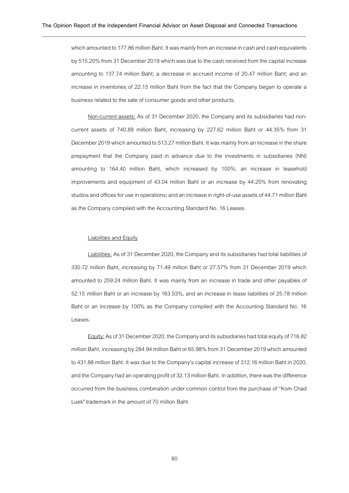which amounted to 177.86 million Baht. It was mainly from an increase in cash and cash equivalents by 515.20% from 31 December 2019 which was due to the cash received from the capital increase amounting to 137.74 million Baht; a decrease in accrued income of 20.47 million Baht; and an increase in inventories of 22.15 million Baht from the fact that the Company began to operate a business related to the sale of consumer goods and other products.

Non-current assets: As of 31 December 2020, the Company and its subsidiaries had noncurrent assets of 740.89 million Baht, increasing by 227.62 million Baht or 44.35% from 31 December 2019 which amounted to 513.27 million Baht. It was mainly from an increase inthe share prepayment that the Company paid in advance due to the investments in subsidiaries (NN) amounting to 164.40 million Baht, which increased by 100%; an increase in leasehold improvements and equipment of 43.04 million Baht or an increase by 44.25% from renovating studios and offices for use in operations; and an increase in right-of-use assets of 44.71 million Baht as the Company compiled with the Accounting Standard No.16 Leases.

#### Liabilities and Equity

Liabilities: As of 31 December 2020, the Company and its subsidiaries had total liabilities of 330.72 million Baht, increasing by 71.49 million Baht or 27.57% from 31 December 2019 which amounted to 259.24 million Baht. It was mainly from an increase in trade and other payables of 52.15 million Baht or an increase by 163.53%, and an increase in lease liabilities of 25.78 million Baht or an increase by 100% as the Company compiled with the Accounting Standard No. 16 Leases.

Equity: As of 31 December 2020, the Company and its subsidiaries had total equity of 716.82 million Baht, increasing by 284.94 million Baht or 65.98% from 31 December 2019 which amounted to 431.88 million Baht. It was due to the Company's capital increase of 312.16 million Baht in 2020, and the Company had an operating profit of 32.13 million Baht. In addition, there was the difference occurred from the business combination under common control from the purchase of "Kom Chad Luek" trademark in the amount of 70 million Baht.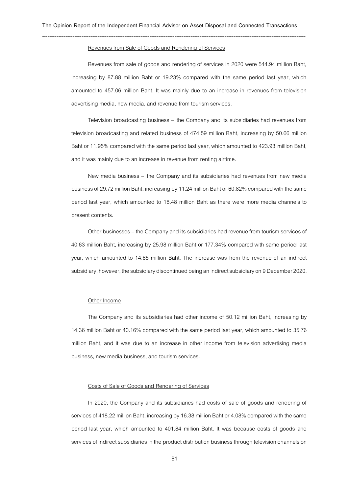### Revenues from Sale of Goods and Rendering of Services

Revenues from sale of goods and rendering of services in 2020 were 544.94 million Baht, increasing by 87.88 million Baht or 19.23% compared with the same period last year, which amounted to 457.06 million Baht. It was mainly due to an increase in revenues from television advertising media, new media, and revenue from tourism services.

Television broadcasting business – the Company and its subsidiaries had revenues from television broadcasting and related business of 474.59 million Baht, increasing by 50.66 million Baht or 11.95% compared with the same period last year, which amounted to 423.93 million Baht, and it was mainly due to an increase in revenue from renting airtime.

New media business – the Company and its subsidiaries had revenues from new media business of 29.72 million Baht, increasing by 11.24 million Baht or 60.82% compared with the same period last year, which amounted to 18.48 million Baht as there were more media channels to present contents.

Other businesses – the Company and its subsidiaries had revenue from tourism services of 40.63 million Baht, increasing by 25.98 million Baht or 177.34% compared with same period last year, which amounted to 14.65 million Baht. The increase was from the revenue of an indirect subsidiary, however, the subsidiary discontinued being an indirect subsidiary on 9 December2020.

#### Other Income

The Company and its subsidiaries had other income of 50.12 million Baht, increasing by 14.36 million Baht or 40.16% compared with the same period last year, which amounted to 35.76 million Baht, and it was due to an increase in other income from television advertising media business, new media business,and tourism services.

#### Costs of Sale of Goods and Rendering of Services

In 2020, the Company and its subsidiaries had costs of sale of goods and rendering of services of 418.22 million Baht, increasing by 16.38 million Baht or 4.08% compared with the same period last year, which amounted to 401.84 million Baht. It was because costs of goods and services of indirect subsidiaries in the product distribution business through television channels on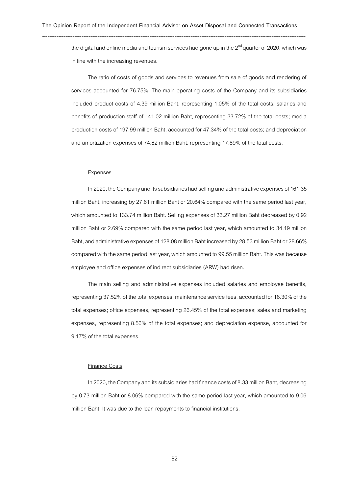the digital and online media and tourism services had gone up in the  $2<sup>nd</sup>$  quarter of 2020, which was in line with the increasing revenues.

The ratio of costs of goods and services to revenues from sale of goods and rendering of services accounted for 76.75%. The main operating costs of the Company and its subsidiaries included product costs of 4.39 million Baht, representing 1.05% of the total costs; salaries and benefits of production staff of 141.02 million Baht, representing 33.72% of the total costs; media production costs of 197.99 million Baht, accounted for 47.34% of the total costs; and depreciation and amortization expenses of 74.82 million Baht, representing 17.89% of the total costs.

#### Expenses

In 2020, the Company and its subsidiaries had selling and administrative expenses of 161.35 million Baht, increasing by 27.61 million Baht or 20.64% compared with the same period last year, which amounted to 133.74 million Baht. Selling expenses of 33.27 million Baht decreased by 0.92 million Baht or 2.69% compared with the same period last year, which amounted to 34.19 million Baht, and administrative expenses of 128.08million Baht increased by 28.53million Baht or 28.66% compared with the same period last year, which amounted to 99.55 million Baht. This was because employee and office expenses of indirect subsidiaries (ARW) had risen.

The main selling and administrative expenses included salaries and employee benefits, representing 37.52% of the total expenses; maintenance service fees, accounted for 18.30% of the total expenses; office expenses, representing 26.45% of the total expenses; sales and marketing expenses, representing 8.56% of the total expenses; and depreciation expense, accounted for 9.17% of the total expenses.

#### Finance Costs

In 2020, the Company and its subsidiaries had finance costs of 8.33 million Baht, decreasing by 0.73 million Baht or 8.06% compared with the same period last year, which amounted to 9.06 million Baht. It was due to the loan repayments to financial institutions.